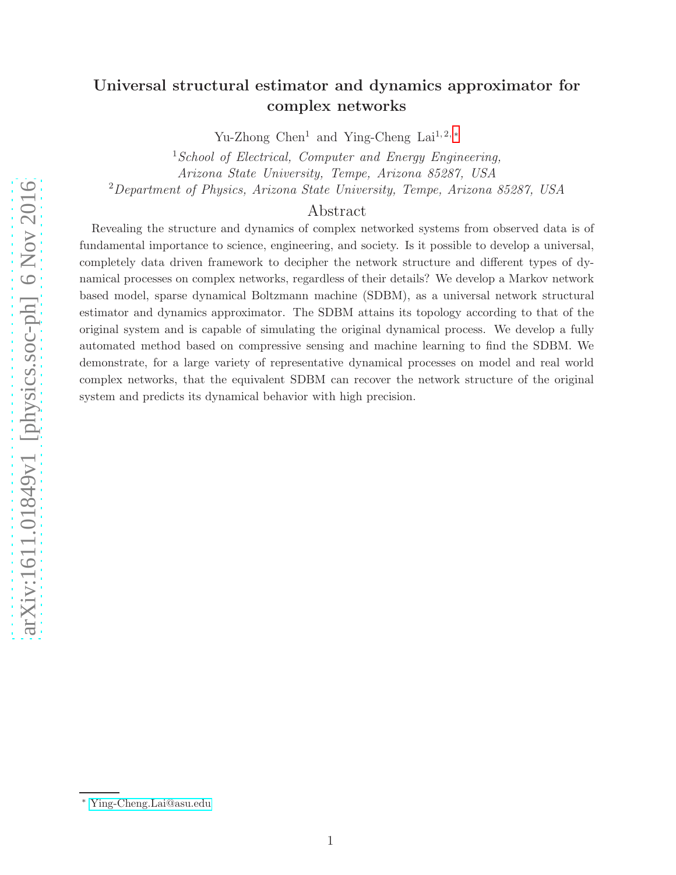# Universal structural estimator and dynamics approximator for complex networks

Yu-Zhong Chen<sup>1</sup> and Ying-Cheng Lai<sup>1,2,\*</sup>

<sup>1</sup> School of Electrical, Computer and Energy Engineering, Arizona State University, Tempe, Arizona 85287, USA <sup>2</sup>Department of Physics, Arizona State University, Tempe, Arizona 85287, USA

## Abstract

Revealing the structure and dynamics of complex networked systems from observed data is of fundamental importance to science, engineering, and society. Is it possible to develop a universal, completely data driven framework to decipher the network structure and different types of dynamical processes on complex networks, regardless of their details? We develop a Markov network based model, sparse dynamical Boltzmann machine (SDBM), as a universal network structural estimator and dynamics approximator. The SDBM attains its topology according to that of the original system and is capable of simulating the original dynamical process. We develop a fully automated method based on compressive sensing and machine learning to find the SDBM. We demonstrate, for a large variety of representative dynamical processes on model and real world complex networks, that the equivalent SDBM can recover the network structure of the original system and predicts its dynamical behavior with high precision.

<span id="page-0-0"></span><sup>∗</sup> [Ying-Cheng.Lai@asu.edu](mailto:Ying-Cheng.Lai@asu.edu)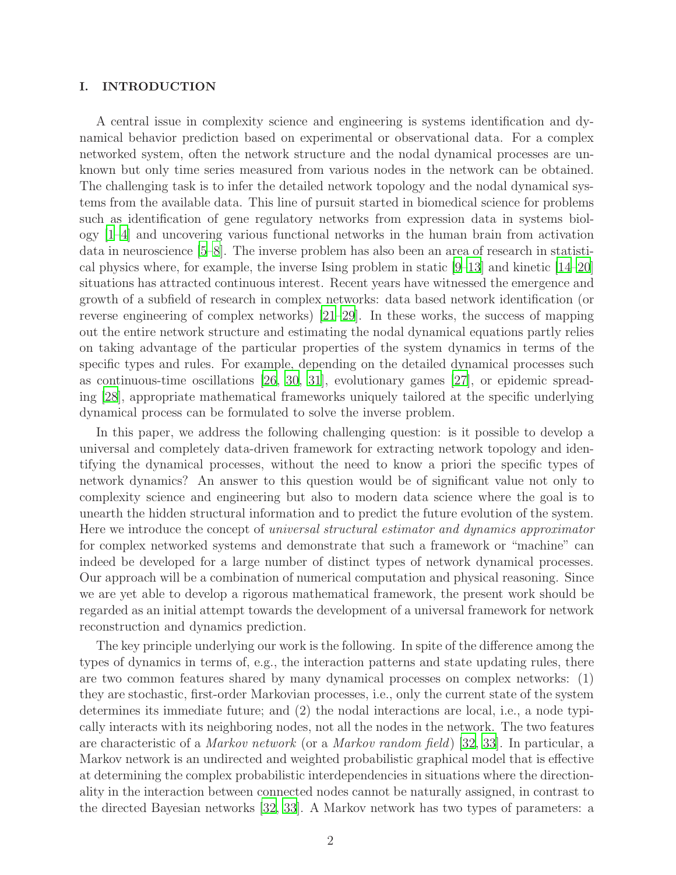### I. INTRODUCTION

A central issue in complexity science and engineering is systems identification and dynamical behavior prediction based on experimental or observational data. For a complex networked system, often the network structure and the nodal dynamical processes are unknown but only time series measured from various nodes in the network can be obtained. The challenging task is to infer the detailed network topology and the nodal dynamical systems from the available data. This line of pursuit started in biomedical science for problems such as identification of gene regulatory networks from expression data in systems biology [\[1](#page-21-0)[–4](#page-21-1)] and uncovering various functional networks in the human brain from activation data in neuroscience [\[5](#page-21-2)[–8](#page-22-0)]. The inverse problem has also been an area of research in statistical physics where, for example, the inverse Ising problem in static [\[9](#page-22-1)[–13\]](#page-22-2) and kinetic [\[14](#page-22-3)[–20\]](#page-22-4) situations has attracted continuous interest. Recent years have witnessed the emergence and growth of a subfield of research in complex networks: data based network identification (or reverse engineering of complex networks) [\[21](#page-22-5)[–29\]](#page-23-0). In these works, the success of mapping out the entire network structure and estimating the nodal dynamical equations partly relies on taking advantage of the particular properties of the system dynamics in terms of the specific types and rules. For example, depending on the detailed dynamical processes such as continuous-time oscillations [\[26,](#page-22-6) [30,](#page-23-1) [31\]](#page-23-2), evolutionary games [\[27](#page-22-7)], or epidemic spreading [\[28\]](#page-22-8), appropriate mathematical frameworks uniquely tailored at the specific underlying dynamical process can be formulated to solve the inverse problem.

In this paper, we address the following challenging question: is it possible to develop a universal and completely data-driven framework for extracting network topology and identifying the dynamical processes, without the need to know a priori the specific types of network dynamics? An answer to this question would be of significant value not only to complexity science and engineering but also to modern data science where the goal is to unearth the hidden structural information and to predict the future evolution of the system. Here we introduce the concept of universal structural estimator and dynamics approximator for complex networked systems and demonstrate that such a framework or "machine" can indeed be developed for a large number of distinct types of network dynamical processes. Our approach will be a combination of numerical computation and physical reasoning. Since we are yet able to develop a rigorous mathematical framework, the present work should be regarded as an initial attempt towards the development of a universal framework for network reconstruction and dynamics prediction.

The key principle underlying our work is the following. In spite of the difference among the types of dynamics in terms of, e.g., the interaction patterns and state updating rules, there are two common features shared by many dynamical processes on complex networks: (1) they are stochastic, first-order Markovian processes, i.e., only the current state of the system determines its immediate future; and (2) the nodal interactions are local, i.e., a node typically interacts with its neighboring nodes, not all the nodes in the network. The two features are characteristic of a Markov network (or a Markov random field) [\[32,](#page-23-3) [33](#page-23-4)]. In particular, a Markov network is an undirected and weighted probabilistic graphical model that is effective at determining the complex probabilistic interdependencies in situations where the directionality in the interaction between connected nodes cannot be naturally assigned, in contrast to the directed Bayesian networks [\[32,](#page-23-3) [33\]](#page-23-4). A Markov network has two types of parameters: a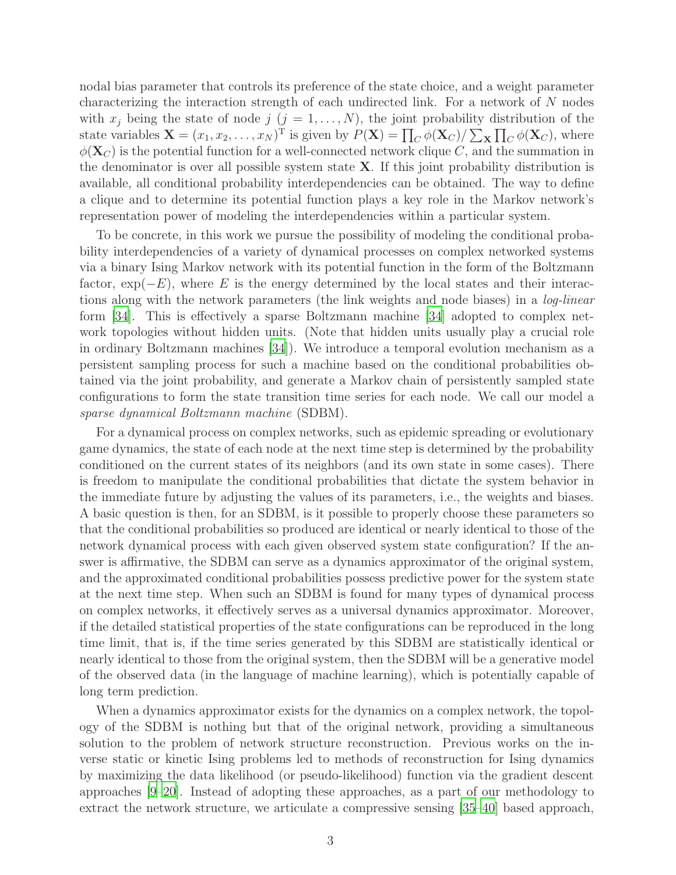nodal bias parameter that controls its preference of the state choice, and a weight parameter characterizing the interaction strength of each undirected link. For a network of N nodes with  $x_j$  being the state of node  $j$   $(j = 1, \ldots, N)$ , the joint probability distribution of the state variables  $\mathbf{X} = (x_1, x_2, \dots, x_N)^\text{T}$  is given by  $P(\mathbf{X}) = \prod_C \phi(\mathbf{X}_C) / \sum_{\mathbf{X}} \prod_C \phi(\mathbf{X}_C)$ , where  $\phi(\mathbf{X}_C)$  is the potential function for a well-connected network clique C, and the summation in the denominator is over all possible system state  $X$ . If this joint probability distribution is available, all conditional probability interdependencies can be obtained. The way to define a clique and to determine its potential function plays a key role in the Markov network's representation power of modeling the interdependencies within a particular system.

To be concrete, in this work we pursue the possibility of modeling the conditional probability interdependencies of a variety of dynamical processes on complex networked systems via a binary Ising Markov network with its potential function in the form of the Boltzmann factor,  $\exp(-E)$ , where E is the energy determined by the local states and their interactions along with the network parameters (the link weights and node biases) in a log-linear form [\[34](#page-23-5)]. This is effectively a sparse Boltzmann machine [\[34](#page-23-5)] adopted to complex network topologies without hidden units. (Note that hidden units usually play a crucial role in ordinary Boltzmann machines [\[34](#page-23-5)]). We introduce a temporal evolution mechanism as a persistent sampling process for such a machine based on the conditional probabilities obtained via the joint probability, and generate a Markov chain of persistently sampled state configurations to form the state transition time series for each node. We call our model a sparse dynamical Boltzmann machine (SDBM).

For a dynamical process on complex networks, such as epidemic spreading or evolutionary game dynamics, the state of each node at the next time step is determined by the probability conditioned on the current states of its neighbors (and its own state in some cases). There is freedom to manipulate the conditional probabilities that dictate the system behavior in the immediate future by adjusting the values of its parameters, i.e., the weights and biases. A basic question is then, for an SDBM, is it possible to properly choose these parameters so that the conditional probabilities so produced are identical or nearly identical to those of the network dynamical process with each given observed system state configuration? If the answer is affirmative, the SDBM can serve as a dynamics approximator of the original system, and the approximated conditional probabilities possess predictive power for the system state at the next time step. When such an SDBM is found for many types of dynamical process on complex networks, it effectively serves as a universal dynamics approximator. Moreover, if the detailed statistical properties of the state configurations can be reproduced in the long time limit, that is, if the time series generated by this SDBM are statistically identical or nearly identical to those from the original system, then the SDBM will be a generative model of the observed data (in the language of machine learning), which is potentially capable of long term prediction.

When a dynamics approximator exists for the dynamics on a complex network, the topology of the SDBM is nothing but that of the original network, providing a simultaneous solution to the problem of network structure reconstruction. Previous works on the inverse static or kinetic Ising problems led to methods of reconstruction for Ising dynamics by maximizing the data likelihood (or pseudo-likelihood) function via the gradient descent approaches [\[9](#page-22-1)[–20](#page-22-4)]. Instead of adopting these approaches, as a part of our methodology to extract the network structure, we articulate a compressive sensing [\[35](#page-23-6)[–40\]](#page-23-7) based approach,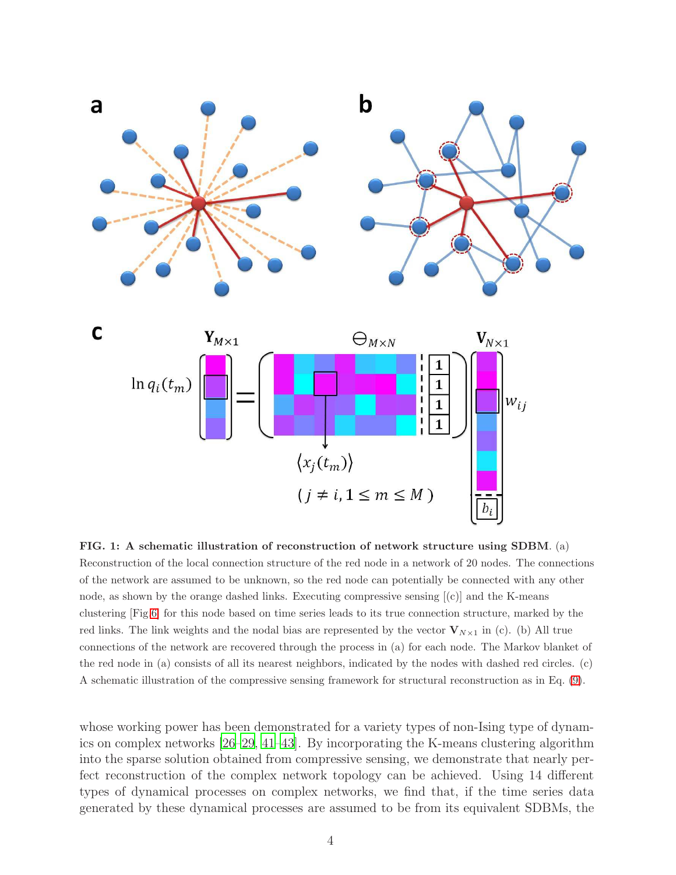<span id="page-3-0"></span>

FIG. 1: A schematic illustration of reconstruction of network structure using SDBM. (a) Reconstruction of the local connection structure of the red node in a network of 20 nodes. The connections of the network are assumed to be unknown, so the red node can potentially be connected with any other node, as shown by the orange dashed links. Executing compressive sensing [(c)] and the K-means clustering [Fig[.6\]](#page-18-0) for this node based on time series leads to its true connection structure, marked by the red links. The link weights and the nodal bias are represented by the vector  $V_{N\times 1}$  in (c). (b) All true connections of the network are recovered through the process in (a) for each node. The Markov blanket of the red node in (a) consists of all its nearest neighbors, indicated by the nodes with dashed red circles. (c) A schematic illustration of the compressive sensing framework for structural reconstruction as in Eq. [\(9\)](#page-6-0).

whose working power has been demonstrated for a variety types of non-Ising type of dynamics on complex networks [\[26](#page-22-6)[–29,](#page-23-0) [41](#page-23-8)[–43\]](#page-23-9). By incorporating the K-means clustering algorithm into the sparse solution obtained from compressive sensing, we demonstrate that nearly perfect reconstruction of the complex network topology can be achieved. Using 14 different types of dynamical processes on complex networks, we find that, if the time series data generated by these dynamical processes are assumed to be from its equivalent SDBMs, the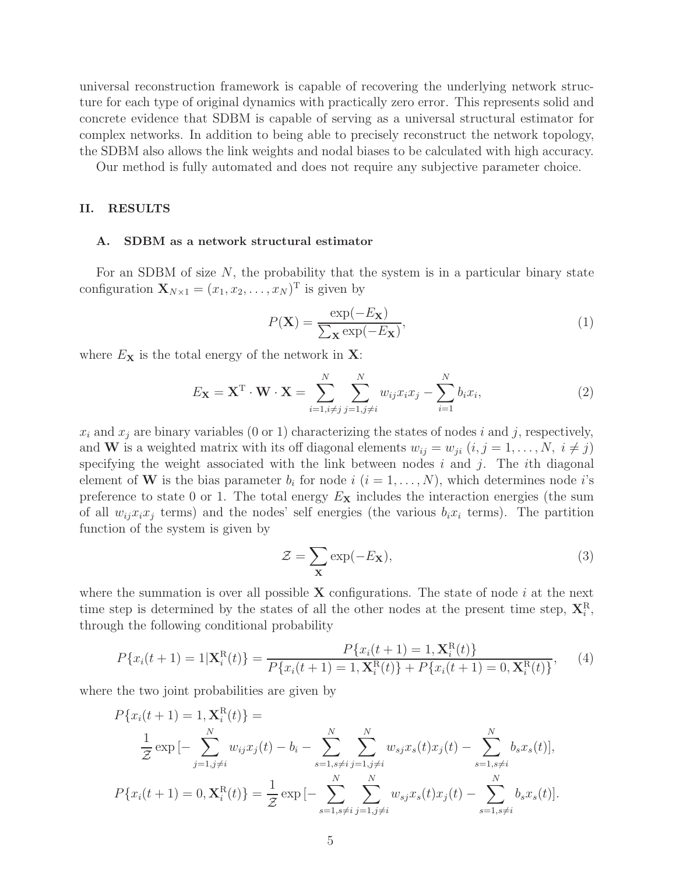universal reconstruction framework is capable of recovering the underlying network structure for each type of original dynamics with practically zero error. This represents solid and concrete evidence that SDBM is capable of serving as a universal structural estimator for complex networks. In addition to being able to precisely reconstruct the network topology, the SDBM also allows the link weights and nodal biases to be calculated with high accuracy.

Our method is fully automated and does not require any subjective parameter choice.

## II. RESULTS

#### A. SDBM as a network structural estimator

For an SDBM of size  $N$ , the probability that the system is in a particular binary state configuration  $\mathbf{X}_{N\times 1} = (x_1, x_2, \dots, x_N)^\mathrm{T}$  is given by

$$
P(\mathbf{X}) = \frac{\exp(-E_{\mathbf{X}})}{\sum_{\mathbf{X}} \exp(-E_{\mathbf{X}})},
$$
\n(1)

where  $E_{\mathbf{X}}$  is the total energy of the network in  $\mathbf{X}$ :

$$
E_{\mathbf{X}} = \mathbf{X}^{\mathrm{T}} \cdot \mathbf{W} \cdot \mathbf{X} = \sum_{i=1, i \neq j}^{N} \sum_{j=1, j \neq i}^{N} w_{ij} x_i x_j - \sum_{i=1}^{N} b_i x_i,
$$
 (2)

 $x_i$  and  $x_j$  are binary variables (0 or 1) characterizing the states of nodes i and j, respectively, and **W** is a weighted matrix with its off diagonal elements  $w_{ij} = w_{ji}$   $(i, j = 1, \ldots, N, i \neq j)$ specifying the weight associated with the link between nodes i and j. The ith diagonal element of **W** is the bias parameter  $b_i$  for node  $i$   $(i = 1, ..., N)$ , which determines node i's preference to state 0 or 1. The total energy  $E_{\mathbf{X}}$  includes the interaction energies (the sum of all  $w_{ij}x_ix_j$  terms) and the nodes' self energies (the various  $b_ix_i$  terms). The partition function of the system is given by

$$
\mathcal{Z} = \sum_{\mathbf{X}} \exp(-E_{\mathbf{X}}),\tag{3}
$$

where the summation is over all possible  $X$  configurations. The state of node i at the next time step is determined by the states of all the other nodes at the present time step,  $\mathbf{X}_{i}^{\text{R}}$ , through the following conditional probability

<span id="page-4-0"></span>
$$
P\{x_i(t+1) = 1 | \mathbf{X}_i^{\text{R}}(t)\} = \frac{P\{x_i(t+1) = 1, \mathbf{X}_i^{\text{R}}(t)\}}{P\{x_i(t+1) = 1, \mathbf{X}_i^{\text{R}}(t)\} + P\{x_i(t+1) = 0, \mathbf{X}_i^{\text{R}}(t)\}},\tag{4}
$$

where the two joint probabilities are given by

$$
P\{x_i(t+1) = 1, \mathbf{X}_i^{\text{R}}(t)\} =
$$
  
\n
$$
\frac{1}{Z} \exp\left[-\sum_{j=1, j\neq i}^N w_{ij} x_j(t) - b_i - \sum_{s=1, s\neq i}^N \sum_{j=1, j\neq i}^N w_{sj} x_s(t) x_j(t) - \sum_{s=1, s\neq i}^N b_s x_s(t)\right],
$$
  
\n
$$
P\{x_i(t+1) = 0, \mathbf{X}_i^{\text{R}}(t)\} = \frac{1}{Z} \exp\left[-\sum_{s=1, s\neq i}^N \sum_{j=1, j\neq i}^N w_{sj} x_s(t) x_j(t) - \sum_{s=1, s\neq i}^N b_s x_s(t)\right].
$$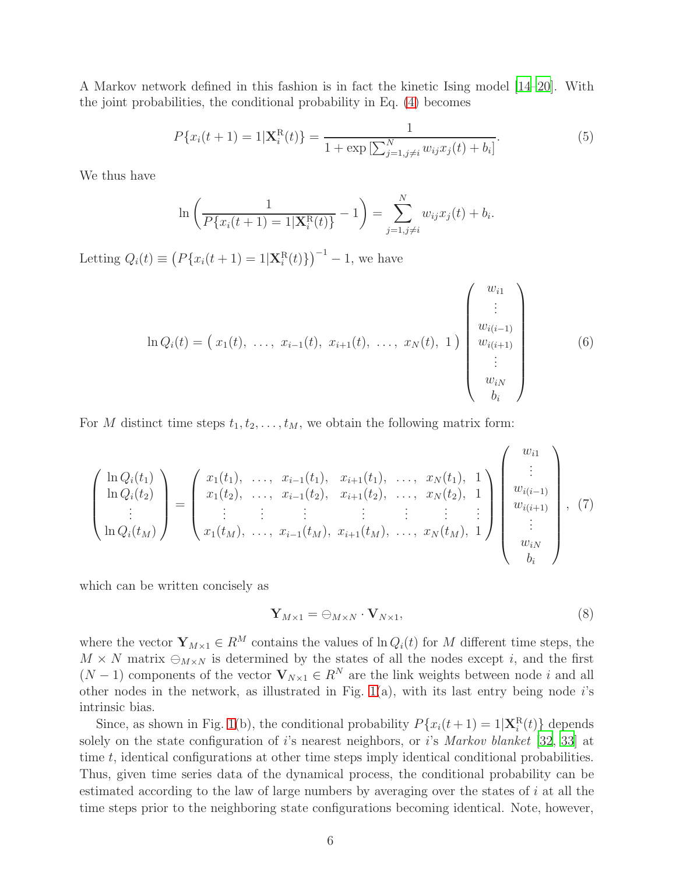A Markov network defined in this fashion is in fact the kinetic Ising model [\[14](#page-22-3)[–20\]](#page-22-4). With the joint probabilities, the conditional probability in Eq. [\(4\)](#page-4-0) becomes

<span id="page-5-0"></span>
$$
P\{x_i(t+1) = 1 | \mathbf{X}_i^{\mathcal{R}}(t)\} = \frac{1}{1 + \exp\left[\sum_{j=1, j \neq i}^N w_{ij} x_j(t) + b_i\right]}.
$$
(5)

We thus have

$$
\ln\left(\frac{1}{P\{x_i(t+1)=1|\mathbf{X}_i^{\mathrm{R}}(t)\}}-1\right)=\sum_{j=1,j\neq i}^N w_{ij}x_j(t)+b_i.
$$

Letting  $Q_i(t) \equiv (P\{x_i(t+1) = 1 | \mathbf{X}_i^{R}(t)\})^{-1} - 1$ , we have

$$
\ln Q_i(t) = \begin{pmatrix} x_1(t), \dots, x_{i-1}(t), x_{i+1}(t), \dots, x_N(t), 1 \end{pmatrix} \begin{pmatrix} w_{i1} \\ \vdots \\ w_{i(i-1)} \\ w_{i(i+1)} \\ \vdots \\ w_{iN} \\ b_i \end{pmatrix}
$$
 (6)

For M distinct time steps  $t_1, t_2, \ldots, t_M$ , we obtain the following matrix form:

$$
\begin{pmatrix}\n\ln Q_i(t_1) \\
\ln Q_i(t_2) \\
\vdots \\
\ln Q_i(t_M)\n\end{pmatrix} = \begin{pmatrix}\nx_1(t_1), \dots, x_{i-1}(t_1), \dots, x_{i+1}(t_1), \dots, x_N(t_1), 1 \\
x_1(t_2), \dots, x_{i-1}(t_2), \dots, x_N(t_2), 1 \\
\vdots \vdots \vdots \vdots \vdots \vdots \vdots \vdots \\
x_1(t_M), \dots, x_{i-1}(t_M), \dots, x_N(t_M), 1\n\end{pmatrix} \begin{pmatrix}\nw_{i1} \\
\vdots \\
w_{i(i-1)} \\
w_{i(i+1)} \\
\vdots \\
w_{iN} \\
b_i\n\end{pmatrix}, (7)
$$

which can be written concisely as

$$
\mathbf{Y}_{M \times 1} = \bigoplus_{M \times N} \cdot \mathbf{V}_{N \times 1},\tag{8}
$$

where the vector  $\mathbf{Y}_{M\times 1}\in R^M$  contains the values of  $\ln Q_i(t)$  for M different time steps, the  $M \times N$  matrix  $\bigoplus_{M \times N}$  is determined by the states of all the nodes except *i*, and the first  $(N-1)$  components of the vector  $V_{N\times 1} \in R^N$  are the link weights between node i and all other nodes in the network, as illustrated in Fig. [1\(](#page-3-0)a), with its last entry being node  $i$ 's intrinsic bias.

Since, as shown in Fig. [1\(](#page-3-0)b), the conditional probability  $P\{x_i(t+1) = 1 | \mathbf{X}_i^R(t)\}\)$  depends solely on the state configuration of i's nearest neighbors, or i's Markov blanket [\[32,](#page-23-3) [33](#page-23-4)] at time t, identical configurations at other time steps imply identical conditional probabilities. Thus, given time series data of the dynamical process, the conditional probability can be estimated according to the law of large numbers by averaging over the states of i at all the time steps prior to the neighboring state configurations becoming identical. Note, however,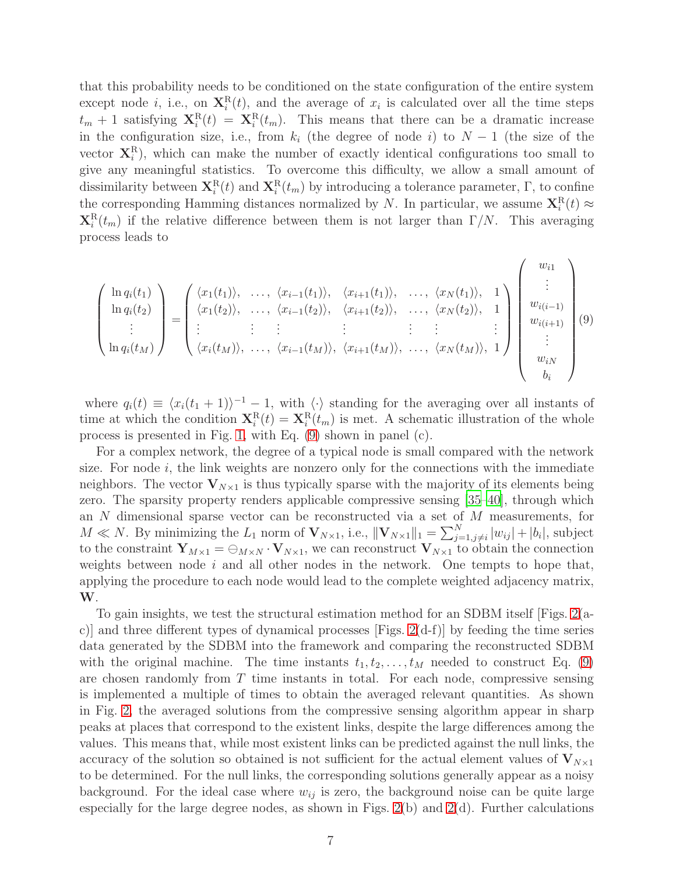that this probability needs to be conditioned on the state configuration of the entire system except node *i*, i.e., on  $\mathbf{X}_i^{\text{R}}(t)$ , and the average of  $x_i$  is calculated over all the time steps  $t_m + 1$  satisfying  $\mathbf{X}_i^{\text{R}}(t) = \mathbf{X}_i^{\text{R}}(t_m)$ . This means that there can be a dramatic increase in the configuration size, i.e., from  $k_i$  (the degree of node i) to  $N-1$  (the size of the vector  $X_i^R$ ), which can make the number of exactly identical configurations too small to give any meaningful statistics. To overcome this difficulty, we allow a small amount of dissimilarity between  $\mathbf{X}_i^{\text{R}}(t)$  and  $\mathbf{X}_i^{\text{R}}(t_m)$  by introducing a tolerance parameter,  $\Gamma$ , to confine the corresponding Hamming distances normalized by N. In particular, we assume  $\mathbf{X}_i^{\text{R}}(t) \approx$  $\mathbf{X}_i^{\text{R}}(t_m)$  if the relative difference between them is not larger than  $\Gamma/N$ . This averaging process leads to

<span id="page-6-0"></span>
$$
\begin{pmatrix}\n\ln q_i(t_1) \\
\ln q_i(t_2) \\
\vdots \\
\ln q_i(t_M)\n\end{pmatrix} = \begin{pmatrix}\n\langle x_1(t_1) \rangle, & \dots, & \langle x_{i-1}(t_1) \rangle, & \langle x_{i+1}(t_1) \rangle, & \dots, & \langle x_N(t_1) \rangle, & 1 \\
\langle x_1(t_2) \rangle, & \dots, & \langle x_{i-1}(t_2) \rangle, & \langle x_{i+1}(t_2) \rangle, & \dots, & \langle x_N(t_2) \rangle, & 1 \\
\vdots & \vdots & \vdots & \vdots & \vdots & \vdots \\
\langle x_i(t_M) \rangle, & \dots, & \langle x_{i-1}(t_M) \rangle, & \langle x_{i+1}(t_M) \rangle, & \dots, & \langle x_N(t_M) \rangle, & 1\n\end{pmatrix} \begin{pmatrix}\nw_{i1} \\
\vdots \\
w_{i(i-1)} \\
w_{i(i+1)} \\
\vdots \\
w_{iN} \\
b_i\n\end{pmatrix}
$$
\n(9)

where  $q_i(t) \equiv \langle x_i(t_1 + 1) \rangle^{-1} - 1$ , with  $\langle \cdot \rangle$  standing for the averaging over all instants of time at which the condition  $\mathbf{X}_i^{\text{R}}(t) = \mathbf{X}_i^{\text{R}}(t_m)$  is met. A schematic illustration of the whole process is presented in Fig. [1,](#page-3-0) with Eq. [\(9\)](#page-6-0) shown in panel (c).

For a complex network, the degree of a typical node is small compared with the network size. For node  $i$ , the link weights are nonzero only for the connections with the immediate neighbors. The vector  $V_{N\times 1}$  is thus typically sparse with the majority of its elements being zero. The sparsity property renders applicable compressive sensing [\[35](#page-23-6)[–40](#page-23-7)], through which an N dimensional sparse vector can be reconstructed via a set of M measurements, for  $M \ll N$ . By minimizing the  $L_1$  norm of  $\mathbf{V}_{N\times1}$ , i.e.,  $\|\mathbf{V}_{N\times1}\|_1 = \sum_{j=1,j\neq i}^{N} |w_{ij}| + |b_i|$ , subject to the constraint  $Y_{M\times 1} = \bigoplus_{M\times N} \cdot V_{N\times 1}$ , we can reconstruct  $V_{N\times 1}$  to obtain the connection weights between node  $i$  and all other nodes in the network. One tempts to hope that, applying the procedure to each node would lead to the complete weighted adjacency matrix, W.

To gain insights, we test the structural estimation method for an SDBM itself [Figs. [2\(](#page-9-0)ac)] and three different types of dynamical processes [Figs. [2\(](#page-9-0)d-f)] by feeding the time series data generated by the SDBM into the framework and comparing the reconstructed SDBM with the original machine. The time instants  $t_1, t_2, \ldots, t_M$  needed to construct Eq. [\(9\)](#page-6-0) are chosen randomly from  $T$  time instants in total. For each node, compressive sensing is implemented a multiple of times to obtain the averaged relevant quantities. As shown in Fig. [2,](#page-9-0) the averaged solutions from the compressive sensing algorithm appear in sharp peaks at places that correspond to the existent links, despite the large differences among the values. This means that, while most existent links can be predicted against the null links, the accuracy of the solution so obtained is not sufficient for the actual element values of  $V_{N\times1}$ to be determined. For the null links, the corresponding solutions generally appear as a noisy background. For the ideal case where  $w_{ij}$  is zero, the background noise can be quite large especially for the large degree nodes, as shown in Figs.  $2(b)$  and  $2(d)$ . Further calculations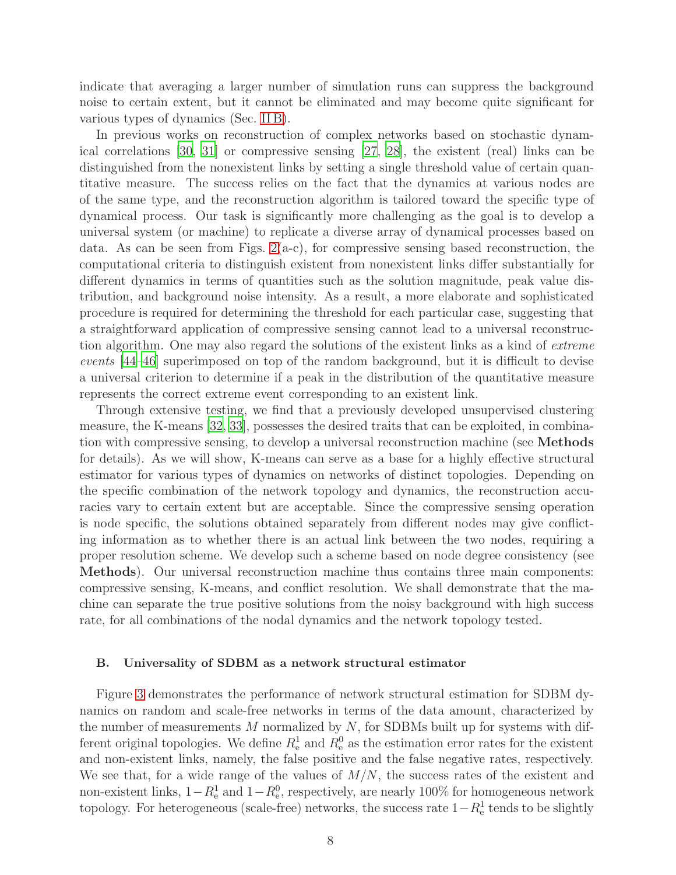indicate that averaging a larger number of simulation runs can suppress the background noise to certain extent, but it cannot be eliminated and may become quite significant for various types of dynamics (Sec. [II B\)](#page-7-0).

In previous works on reconstruction of complex networks based on stochastic dynamical correlations [\[30](#page-23-1), [31\]](#page-23-2) or compressive sensing [\[27,](#page-22-7) [28](#page-22-8)], the existent (real) links can be distinguished from the nonexistent links by setting a single threshold value of certain quantitative measure. The success relies on the fact that the dynamics at various nodes are of the same type, and the reconstruction algorithm is tailored toward the specific type of dynamical process. Our task is significantly more challenging as the goal is to develop a universal system (or machine) to replicate a diverse array of dynamical processes based on data. As can be seen from Figs.  $2(a-c)$ , for compressive sensing based reconstruction, the computational criteria to distinguish existent from nonexistent links differ substantially for different dynamics in terms of quantities such as the solution magnitude, peak value distribution, and background noise intensity. As a result, a more elaborate and sophisticated procedure is required for determining the threshold for each particular case, suggesting that a straightforward application of compressive sensing cannot lead to a universal reconstruction algorithm. One may also regard the solutions of the existent links as a kind of extreme events [\[44](#page-23-10)[–46\]](#page-23-11) superimposed on top of the random background, but it is difficult to devise a universal criterion to determine if a peak in the distribution of the quantitative measure represents the correct extreme event corresponding to an existent link.

Through extensive testing, we find that a previously developed unsupervised clustering measure, the K-means [\[32,](#page-23-3) [33\]](#page-23-4), possesses the desired traits that can be exploited, in combination with compressive sensing, to develop a universal reconstruction machine (see Methods for details). As we will show, K-means can serve as a base for a highly effective structural estimator for various types of dynamics on networks of distinct topologies. Depending on the specific combination of the network topology and dynamics, the reconstruction accuracies vary to certain extent but are acceptable. Since the compressive sensing operation is node specific, the solutions obtained separately from different nodes may give conflicting information as to whether there is an actual link between the two nodes, requiring a proper resolution scheme. We develop such a scheme based on node degree consistency (see Methods). Our universal reconstruction machine thus contains three main components: compressive sensing, K-means, and conflict resolution. We shall demonstrate that the machine can separate the true positive solutions from the noisy background with high success rate, for all combinations of the nodal dynamics and the network topology tested.

#### <span id="page-7-0"></span>B. Universality of SDBM as a network structural estimator

Figure [3](#page-10-0) demonstrates the performance of network structural estimation for SDBM dynamics on random and scale-free networks in terms of the data amount, characterized by the number of measurements  $M$  normalized by  $N$ , for SDBMs built up for systems with different original topologies. We define  $R_{e}^{1}$  and  $R_{e}^{0}$  as the estimation error rates for the existent and non-existent links, namely, the false positive and the false negative rates, respectively. We see that, for a wide range of the values of  $M/N$ , the success rates of the existent and non-existent links,  $1 - R_e^1$  and  $1 - R_e^0$ , respectively, are nearly 100% for homogeneous network topology. For heterogeneous (scale-free) networks, the success rate  $1-R_e^1$  tends to be slightly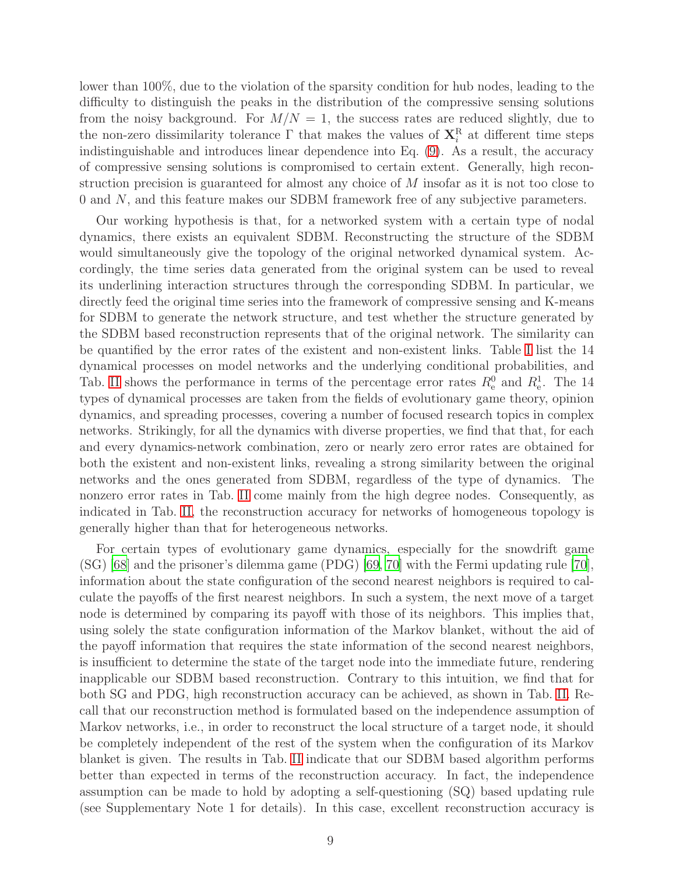lower than 100%, due to the violation of the sparsity condition for hub nodes, leading to the difficulty to distinguish the peaks in the distribution of the compressive sensing solutions from the noisy background. For  $M/N = 1$ , the success rates are reduced slightly, due to the non-zero dissimilarity tolerance  $\Gamma$  that makes the values of  $\mathbf{X}_i^{\text{R}}$  at different time steps indistinguishable and introduces linear dependence into Eq. [\(9\)](#page-6-0). As a result, the accuracy of compressive sensing solutions is compromised to certain extent. Generally, high reconstruction precision is guaranteed for almost any choice of M insofar as it is not too close to 0 and N, and this feature makes our SDBM framework free of any subjective parameters.

Our working hypothesis is that, for a networked system with a certain type of nodal dynamics, there exists an equivalent SDBM. Reconstructing the structure of the SDBM would simultaneously give the topology of the original networked dynamical system. Accordingly, the time series data generated from the original system can be used to reveal its underlining interaction structures through the corresponding SDBM. In particular, we directly feed the original time series into the framework of compressive sensing and K-means for SDBM to generate the network structure, and test whether the structure generated by the SDBM based reconstruction represents that of the original network. The similarity can be quantified by the error rates of the existent and non-existent links. Table [I](#page-11-0) list the 14 dynamical processes on model networks and the underlying conditional probabilities, and Tab. [II](#page-12-0) shows the performance in terms of the percentage error rates  $R_{e}^{0}$  and  $R_{e}^{1}$ . The 14 types of dynamical processes are taken from the fields of evolutionary game theory, opinion dynamics, and spreading processes, covering a number of focused research topics in complex networks. Strikingly, for all the dynamics with diverse properties, we find that that, for each and every dynamics-network combination, zero or nearly zero error rates are obtained for both the existent and non-existent links, revealing a strong similarity between the original networks and the ones generated from SDBM, regardless of the type of dynamics. The nonzero error rates in Tab. [II](#page-12-0) come mainly from the high degree nodes. Consequently, as indicated in Tab. [II,](#page-12-0) the reconstruction accuracy for networks of homogeneous topology is generally higher than that for heterogeneous networks.

For certain types of evolutionary game dynamics, especially for the snowdrift game (SG) [\[68\]](#page-24-0) and the prisoner's dilemma game (PDG) [\[69,](#page-24-1) [70\]](#page-24-2) with the Fermi updating rule [\[70\]](#page-24-2), information about the state configuration of the second nearest neighbors is required to calculate the payoffs of the first nearest neighbors. In such a system, the next move of a target node is determined by comparing its payoff with those of its neighbors. This implies that, using solely the state configuration information of the Markov blanket, without the aid of the payoff information that requires the state information of the second nearest neighbors, is insufficient to determine the state of the target node into the immediate future, rendering inapplicable our SDBM based reconstruction. Contrary to this intuition, we find that for both SG and PDG, high reconstruction accuracy can be achieved, as shown in Tab. [II.](#page-12-0) Recall that our reconstruction method is formulated based on the independence assumption of Markov networks, i.e., in order to reconstruct the local structure of a target node, it should be completely independent of the rest of the system when the configuration of its Markov blanket is given. The results in Tab. [II](#page-12-0) indicate that our SDBM based algorithm performs better than expected in terms of the reconstruction accuracy. In fact, the independence assumption can be made to hold by adopting a self-questioning (SQ) based updating rule (see Supplementary Note 1 for details). In this case, excellent reconstruction accuracy is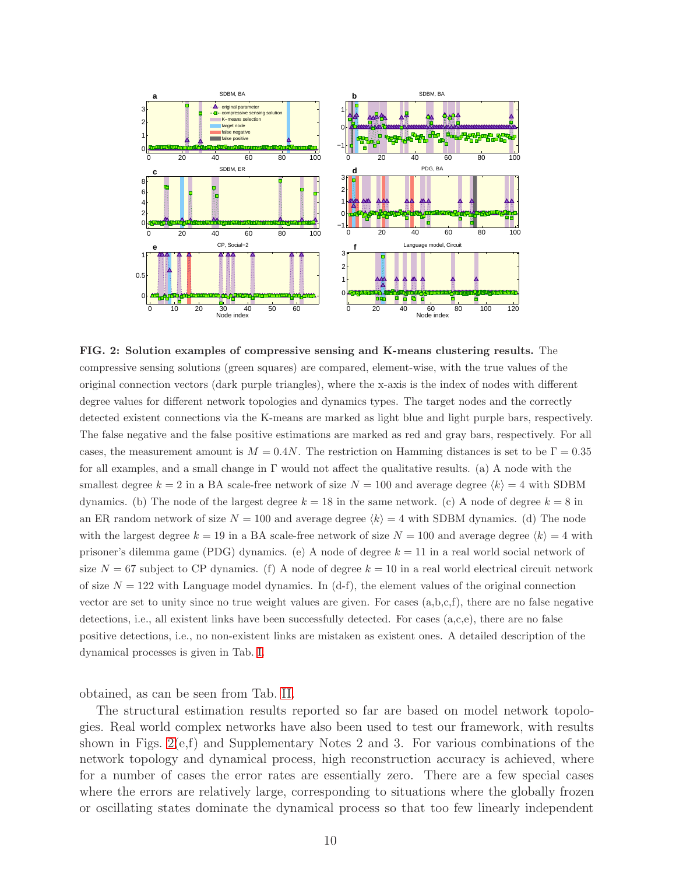<span id="page-9-0"></span>

FIG. 2: Solution examples of compressive sensing and K-means clustering results. The compressive sensing solutions (green squares) are compared, element-wise, with the true values of the original connection vectors (dark purple triangles), where the x-axis is the index of nodes with different degree values for different network topologies and dynamics types. The target nodes and the correctly detected existent connections via the K-means are marked as light blue and light purple bars, respectively. The false negative and the false positive estimations are marked as red and gray bars, respectively. For all cases, the measurement amount is  $M = 0.4N$ . The restriction on Hamming distances is set to be  $\Gamma = 0.35$ for all examples, and a small change in Γ would not affect the qualitative results. (a) A node with the smallest degree  $k = 2$  in a BA scale-free network of size  $N = 100$  and average degree  $\langle k \rangle = 4$  with SDBM dynamics. (b) The node of the largest degree  $k = 18$  in the same network. (c) A node of degree  $k = 8$  in an ER random network of size  $N = 100$  and average degree  $\langle k \rangle = 4$  with SDBM dynamics. (d) The node with the largest degree  $k = 19$  in a BA scale-free network of size  $N = 100$  and average degree  $\langle k \rangle = 4$  with prisoner's dilemma game (PDG) dynamics. (e) A node of degree k = 11 in a real world social network of size  $N = 67$  subject to CP dynamics. (f) A node of degree  $k = 10$  in a real world electrical circuit network of size  $N = 122$  with Language model dynamics. In (d-f), the element values of the original connection vector are set to unity since no true weight values are given. For cases (a,b,c,f), there are no false negative detections, i.e., all existent links have been successfully detected. For cases (a,c,e), there are no false positive detections, i.e., no non-existent links are mistaken as existent ones. A detailed description of the dynamical processes is given in Tab. [I.](#page-11-0)

obtained, as can be seen from Tab. [II.](#page-12-0)

The structural estimation results reported so far are based on model network topologies. Real world complex networks have also been used to test our framework, with results shown in Figs.  $2(e,f)$  and Supplementary Notes 2 and 3. For various combinations of the network topology and dynamical process, high reconstruction accuracy is achieved, where for a number of cases the error rates are essentially zero. There are a few special cases where the errors are relatively large, corresponding to situations where the globally frozen or oscillating states dominate the dynamical process so that too few linearly independent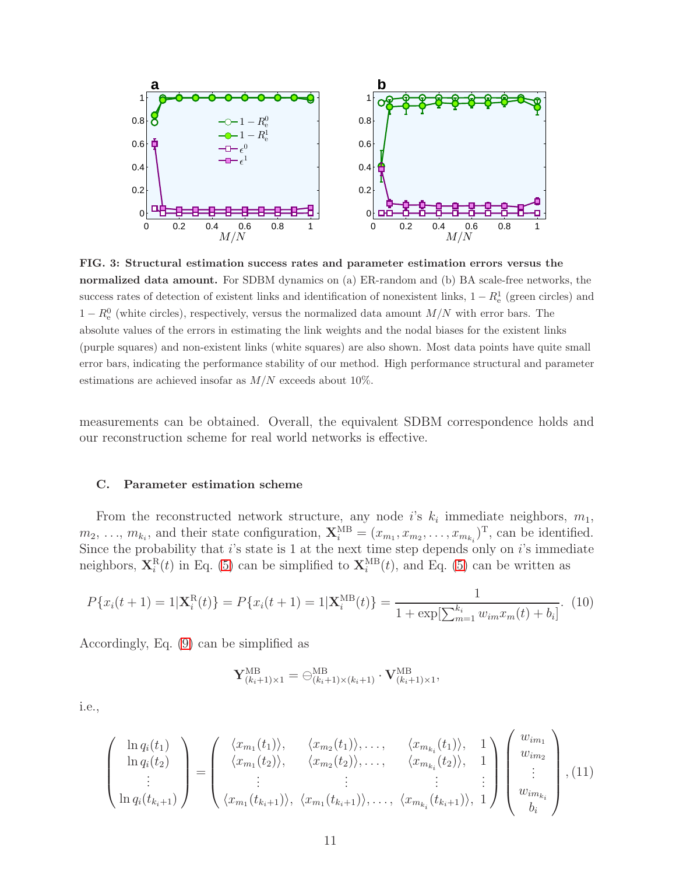<span id="page-10-0"></span>

FIG. 3: Structural estimation success rates and parameter estimation errors versus the normalized data amount. For SDBM dynamics on (a) ER-random and (b) BA scale-free networks, the success rates of detection of existent links and identification of nonexistent links,  $1 - R_e^1$  (green circles) and  $1 - R_e^0$  (white circles), respectively, versus the normalized data amount  $M/N$  with error bars. The absolute values of the errors in estimating the link weights and the nodal biases for the existent links (purple squares) and non-existent links (white squares) are also shown. Most data points have quite small error bars, indicating the performance stability of our method. High performance structural and parameter estimations are achieved insofar as  $M/N$  exceeds about 10%.

measurements can be obtained. Overall, the equivalent SDBM correspondence holds and our reconstruction scheme for real world networks is effective.

#### C. Parameter estimation scheme

From the reconstructed network structure, any node i's  $k_i$  immediate neighbors,  $m_1$ ,  $m_2, \ldots, m_{k_i}$ , and their state configuration,  $\mathbf{X}_i^{\text{MB}} = (x_{m_1}, x_{m_2}, \ldots, x_{m_{k_i}})^{\text{T}}$ , can be identified. Since the probability that  $i$ 's state is 1 at the next time step depends only on  $i$ 's immediate neighbors,  $\mathbf{X}_i^{\text{R}}(t)$  in Eq. [\(5\)](#page-5-0) can be simplified to  $\mathbf{X}_i^{\text{MB}}(t)$ , and Eq. (5) can be written as

$$
P\{x_i(t+1) = 1 | \mathbf{X}_i^{\text{R}}(t)\} = P\{x_i(t+1) = 1 | \mathbf{X}_i^{\text{MB}}(t)\} = \frac{1}{1 + \exp[\sum_{m=1}^{k_i} w_{im} x_m(t) + b_i]}.
$$
(10)

Accordingly, Eq. [\(9\)](#page-6-0) can be simplified as

$$
\mathbf{Y}_{(k_i+1)\times 1}^{\text{MB}} = \ominus_{(k_i+1)\times (k_i+1)}^{\text{MB}} \cdot \mathbf{V}_{(k_i+1)\times 1}^{\text{MB}},
$$

i.e.,

<span id="page-10-1"></span>
$$
\begin{pmatrix}\n\ln q_i(t_1) \\
\ln q_i(t_2) \\
\vdots \\
\ln q_i(t_{k_i+1})\n\end{pmatrix} = \begin{pmatrix}\n\langle x_{m_1}(t_1) \rangle, & \langle x_{m_2}(t_1) \rangle, \dots, & \langle x_{m_{k_i}}(t_1) \rangle, & 1 \\
\langle x_{m_1}(t_2) \rangle, & \langle x_{m_2}(t_2) \rangle, \dots, & \langle x_{m_{k_i}}(t_2) \rangle, & 1 \\
\vdots & \vdots & \vdots & \vdots \\
\langle x_{m_1}(t_{k_i+1}) \rangle, & \langle x_{m_1}(t_{k_i+1}) \rangle, \dots, & \langle x_{m_{k_i}}(t_{k_i+1}) \rangle, & 1\n\end{pmatrix} \begin{pmatrix}\nw_{im_1} \\
w_{im_2} \\
\vdots \\
w_{im_{k_i}} \\
b_i\n\end{pmatrix}, (11)
$$

١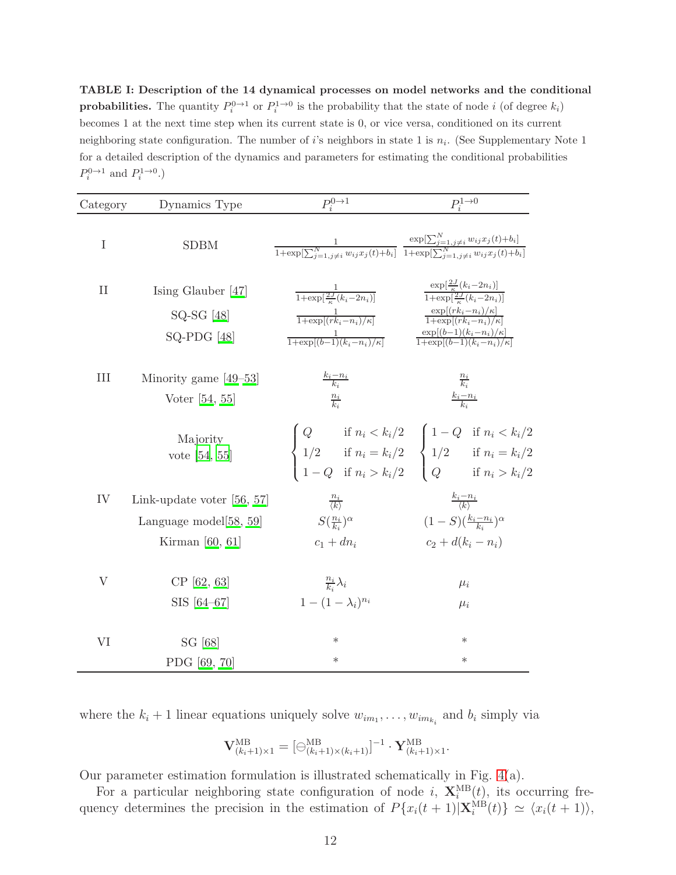<span id="page-11-0"></span>TABLE I: Description of the 14 dynamical processes on model networks and the conditional **probabilities.** The quantity  $P_i^{0\to1}$  or  $P_i^{1\to0}$  is the probability that the state of node i (of degree  $k_i$ ) becomes 1 at the next time step when its current state is 0, or vice versa, conditioned on its current neighboring state configuration. The number of *i*'s neighbors in state 1 is  $n_i$ . (See Supplementary Note 1 for a detailed description of the dynamics and parameters for estimating the conditional probabilities  $P_i^{0\rightarrow1}$  and  $P_i^{1\rightarrow0}$ .)

| Category      | Dynamics Type                                                                  | $P_i^{0\rightarrow 1}$                                                                                                                                                                                                                                                                                                                                                                        | $P_i^{1\rightarrow 0}$                                                                                                                                                                                                                                                                    |
|---------------|--------------------------------------------------------------------------------|-----------------------------------------------------------------------------------------------------------------------------------------------------------------------------------------------------------------------------------------------------------------------------------------------------------------------------------------------------------------------------------------------|-------------------------------------------------------------------------------------------------------------------------------------------------------------------------------------------------------------------------------------------------------------------------------------------|
| I             | <b>SDBM</b>                                                                    | $\frac{1}{1+\exp[\sum_{i=1}^N \frac{w_{ij}x_i(t)+b_i]}{1+\exp[\sum_{i=1}^N \frac{w_{ij}x_j(t)+b_i]}{1+\exp[\sum_{i=1}^N \frac{w_{ij}x_i(t)+b_i]}{1+\exp[\sum_{i=1}^N \frac{w_{ij}x_i(t)+b_i]}{1+\exp[\sum_{i=1}^N \frac{w_{ij}x_i(t)+b_i]}{1+\exp[\sum_{i=1}^N \frac{w_{ij}x_i(t)+b_i]}{1+\exp[\sum_{i=1}^N \frac{w_{ij}x_i(t)+b_i]}{1+\exp[\sum_{i=1}^N \frac{w_{ij}x_i(t)+b_i]}$            |                                                                                                                                                                                                                                                                                           |
| $\mathbf{II}$ | Ising Glauber $[47]$<br>$SQ-SG$ [48]<br>$SQ-PDG$ [48]                          | $\begin{array}{ll} \frac{1}{1+\exp[\frac{2J}{\kappa}(k_i-2n_i)]} & \frac{\exp[\frac{2J}{\kappa}(k_i-2n_i)]}{1+\exp[\frac{2J}{\kappa}(k_i-2n_i)]} \\ \frac{1}{1+\exp[(rk_i-n_i)/\kappa]} & \frac{\exp[(rk_i-n_i)/\kappa]}{1+\exp[(rk_i-n_i)/\kappa]} \end{array}$<br>$\frac{1}{1+\exp[(b-1)(k_i-n_i)/\kappa]} \qquad \qquad \frac{\exp[(b-1)(k_i-n_i)/\kappa]}{1+\exp[(b-1)(k_i-n_i)/\kappa]}$ |                                                                                                                                                                                                                                                                                           |
| $\rm III$     | Minority game $[49-53]$<br>Voter $[54, 55]$                                    | $\frac{k_i - n_i}{k_i}$<br>$\frac{n_i}{k_i}$                                                                                                                                                                                                                                                                                                                                                  | $\frac{\frac{n_i}{k_i}}{\frac{k_i-n_i}{k_i}}$                                                                                                                                                                                                                                             |
|               | Majority<br>vote $[54, 55]$                                                    |                                                                                                                                                                                                                                                                                                                                                                                               | $\left\{ \begin{aligned} &Q &\text{if } n_i < k_i/2 \\ &1/2 &\text{if } n_i = k_i/2 \\ &1-Q &\text{if } n_i > k_i/2 \end{aligned} \right. \quad \left\{ \begin{aligned} &1-Q &\text{if } n_i < k_i/2 \\ &1/2 &\text{if } n_i = k_i/2 \\ &Q &\text{if } n_i > k_i/2 \end{aligned} \right.$ |
| IV            | Link-update voter $[56, 57]$<br>Language model $[58, 59]$<br>Kirman $[60, 61]$ | $\frac{n_i}{\langle k \rangle}$<br>$S(\frac{n_i}{k_i})^{\alpha}$<br>$c_1 + dn_i$                                                                                                                                                                                                                                                                                                              | $\frac{\kappa_i - n_i}{\langle k \rangle}$<br>$(1-S)(\frac{k_i-n_i}{k_i})^{\alpha}$<br>$c_2 + d(k_i - n_i)$                                                                                                                                                                               |
| V             | CP [62, 63]<br>SIS [64-67]                                                     | $\frac{n_i}{k_i}\lambda_i$<br>$1 - (1 - \lambda_i)^{n_i}$                                                                                                                                                                                                                                                                                                                                     | $\mu_i$<br>$\mu_i$                                                                                                                                                                                                                                                                        |
| VI            | SG [68]<br>PDG [69, 70]                                                        | $\ast$<br>$\ast$                                                                                                                                                                                                                                                                                                                                                                              | $\ast$<br>$\ast$                                                                                                                                                                                                                                                                          |

where the  $k_i + 1$  linear equations uniquely solve  $w_{im_1}, \ldots, w_{im_{k_i}}$  and  $b_i$  simply via

$$
\mathbf{V}_{(k_i+1)\times 1}^{\text{MB}} = [\ominus_{(k_i+1)\times (k_i+1)}^{\text{MB}}]^{-1} \cdot \mathbf{Y}_{(k_i+1)\times 1}^{\text{MB}}.
$$

Our parameter estimation formulation is illustrated schematically in Fig. [4\(](#page-12-1)a).

For a particular neighboring state configuration of node i,  $\mathbf{X}_{i}^{\text{MB}}(t)$ , its occurring frequency determines the precision in the estimation of  $P\{x_i(t+1)|\mathbf{X}_i^{MB}(t)\}\simeq \langle x_i(t+1)\rangle$ ,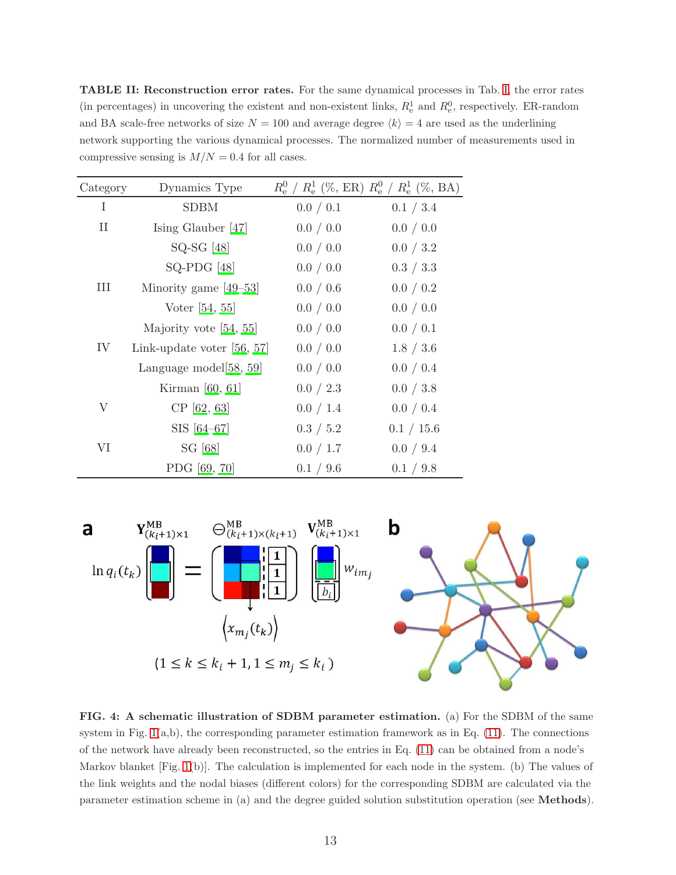<span id="page-12-0"></span>TABLE II: Reconstruction error rates. For the same dynamical processes in Tab. [I,](#page-11-0) the error rates (in percentages) in uncovering the existent and non-existent links,  $R_e^1$  and  $R_e^0$ , respectively. ER-random and BA scale-free networks of size  $N = 100$  and average degree  $\langle k \rangle = 4$  are used as the underlining network supporting the various dynamical processes. The normalized number of measurements used in compressive sensing is  $M/N = 0.4$  for all cases.

| Category | Dynamics Type                |           | $R_{\rm e}^0$ / $R_{\rm e}^1$ (%, ER) $R_{\rm e}^0$ / $R_{\rm e}^1$ (%, BA) |
|----------|------------------------------|-----------|-----------------------------------------------------------------------------|
| T        | <b>SDBM</b>                  | 0.0 / 0.1 | 0.1 / 3.4                                                                   |
| $\prod$  | Ising Glauber $[47]$         | 0.0 / 0.0 | 0.0 / 0.0                                                                   |
|          | $SQ-SG [48]$                 | 0.0 / 0.0 | 0.0 / 3.2                                                                   |
|          | $SQ-PDG$ [48]                | 0.0 / 0.0 | 0.3 / 3.3                                                                   |
| Ш        | Minority game $[49-53]$      | 0.0 / 0.6 | 0.0 / 0.2                                                                   |
|          | Voter $[54, 55]$             | 0.0 / 0.0 | 0.0 / 0.0                                                                   |
|          | Majority vote $[54, 55]$     | 0.0 / 0.0 | 0.0 / 0.1                                                                   |
| IV       | Link-update voter $[56, 57]$ | 0.0 / 0.0 | 1.8 / 3.6                                                                   |
|          | Language model $[58, 59]$    | 0.0 / 0.0 | 0.0 / 0.4                                                                   |
|          | Kirman $[60, 61]$            | 0.0 / 2.3 | 0.0 / 3.8                                                                   |
| V        | $CP$ [62, 63]                | 0.0 / 1.4 | 0.0 / 0.4                                                                   |
|          | SIS [64–67]                  | 0.3 / 5.2 | 0.1 / 15.6                                                                  |
| VI       | SG [68]                      | 0.0 / 1.7 | 0.0 / 9.4                                                                   |
|          | PDG [69, 70]                 | 0.1 / 9.6 | 0.1 / 9.8                                                                   |

<span id="page-12-1"></span>

FIG. 4: A schematic illustration of SDBM parameter estimation. (a) For the SDBM of the same system in Fig.  $1(a,b)$ , the corresponding parameter estimation framework as in Eq.  $(11)$ . The connections of the network have already been reconstructed, so the entries in Eq. [\(11\)](#page-10-1) can be obtained from a node's Markov blanket [Fig. [1\(](#page-3-0)b)]. The calculation is implemented for each node in the system. (b) The values of the link weights and the nodal biases (different colors) for the corresponding SDBM are calculated via the parameter estimation scheme in (a) and the degree guided solution substitution operation (see Methods).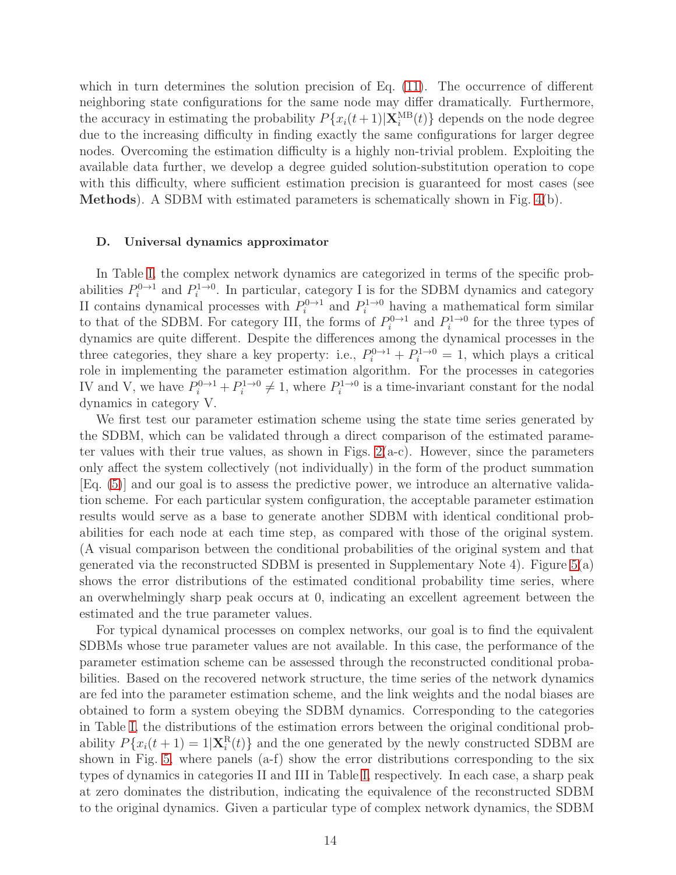which in turn determines the solution precision of Eq. [\(11\)](#page-10-1). The occurrence of different neighboring state configurations for the same node may differ dramatically. Furthermore, the accuracy in estimating the probability  $P\{x_i(t+1)|\mathbf{X}_i^{MB}(t)\}\)$  depends on the node degree due to the increasing difficulty in finding exactly the same configurations for larger degree nodes. Overcoming the estimation difficulty is a highly non-trivial problem. Exploiting the available data further, we develop a degree guided solution-substitution operation to cope with this difficulty, where sufficient estimation precision is guaranteed for most cases (see Methods). A SDBM with estimated parameters is schematically shown in Fig. [4\(](#page-12-1)b).

### D. Universal dynamics approximator

In Table [I,](#page-11-0) the complex network dynamics are categorized in terms of the specific probabilities  $P_i^{0\to1}$  and  $P_i^{1\to0}$ . In particular, category I is for the SDBM dynamics and category II contains dynamical processes with  $P_i^{0\to1}$  and  $P_i^{1\to0}$  having a mathematical form similar to that of the SDBM. For category III, the forms of  $P_i^{0\to1}$  and  $P_i^{1\to0}$  for the three types of dynamics are quite different. Despite the differences among the dynamical processes in the three categories, they share a key property: i.e.,  $P_i^{0\to1} + P_i^{1\to0} = 1$ , which plays a critical role in implementing the parameter estimation algorithm. For the processes in categories IV and V, we have  $P_i^{0\to 1} + P_i^{1\to 0} \neq 1$ , where  $P_i^{1\to 0}$  is a time-invariant constant for the nodal dynamics in category V.

We first test our parameter estimation scheme using the state time series generated by the SDBM, which can be validated through a direct comparison of the estimated parameter values with their true values, as shown in Figs.  $2(a-c)$ . However, since the parameters only affect the system collectively (not individually) in the form of the product summation [Eq. [\(5\)](#page-5-0)] and our goal is to assess the predictive power, we introduce an alternative validation scheme. For each particular system configuration, the acceptable parameter estimation results would serve as a base to generate another SDBM with identical conditional probabilities for each node at each time step, as compared with those of the original system. (A visual comparison between the conditional probabilities of the original system and that generated via the reconstructed SDBM is presented in Supplementary Note 4). Figure  $5(a)$ shows the error distributions of the estimated conditional probability time series, where an overwhelmingly sharp peak occurs at 0, indicating an excellent agreement between the estimated and the true parameter values.

For typical dynamical processes on complex networks, our goal is to find the equivalent SDBMs whose true parameter values are not available. In this case, the performance of the parameter estimation scheme can be assessed through the reconstructed conditional probabilities. Based on the recovered network structure, the time series of the network dynamics are fed into the parameter estimation scheme, and the link weights and the nodal biases are obtained to form a system obeying the SDBM dynamics. Corresponding to the categories in Table [I,](#page-11-0) the distributions of the estimation errors between the original conditional probability  $P\{x_i(t+1) = 1 | \mathbf{X}_i^R(t)\}\$  and the one generated by the newly constructed SDBM are shown in Fig. [5,](#page-15-0) where panels (a-f) show the error distributions corresponding to the six types of dynamics in categories II and III in Table [I,](#page-11-0) respectively. In each case, a sharp peak at zero dominates the distribution, indicating the equivalence of the reconstructed SDBM to the original dynamics. Given a particular type of complex network dynamics, the SDBM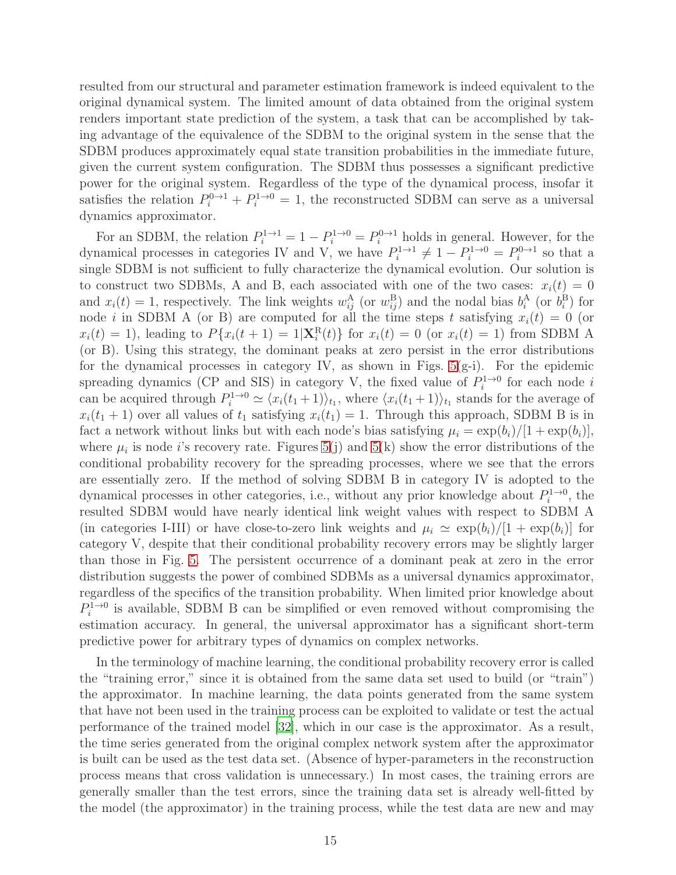resulted from our structural and parameter estimation framework is indeed equivalent to the original dynamical system. The limited amount of data obtained from the original system renders important state prediction of the system, a task that can be accomplished by taking advantage of the equivalence of the SDBM to the original system in the sense that the SDBM produces approximately equal state transition probabilities in the immediate future, given the current system configuration. The SDBM thus possesses a significant predictive power for the original system. Regardless of the type of the dynamical process, insofar it satisfies the relation  $P_i^{0\to 1} + P_i^{1\to 0} = 1$ , the reconstructed SDBM can serve as a universal dynamics approximator.

For an SDBM, the relation  $P_i^{1 \to 1} = 1 - P_i^{1 \to 0} = P_i^{0 \to 1}$  holds in general. However, for the dynamical processes in categories IV and V, we have  $P_i^{1\to 1} \neq 1 - P_i^{1\to 0} = P_i^{0\to 1}$  so that a single SDBM is not sufficient to fully characterize the dynamical evolution. Our solution is to construct two SDBMs, A and B, each associated with one of the two cases:  $x_i(t) = 0$ and  $x_i(t) = 1$ , respectively. The link weights  $w_{ij}^{\text{A}}$  (or  $w_{ij}^{\text{B}}$ ) and the nodal bias  $b_i^{\text{A}}$  (or  $b_i^{\text{B}}$ ) for node *i* in SDBM A (or B) are computed for all the time steps *t* satisfying  $x_i(t) = 0$  (or  $x_i(t) = 1$ , leading to  $P\{x_i(t+1) = 1 | \mathbf{X}_i^R(t)\}$  for  $x_i(t) = 0$  (or  $x_i(t) = 1$ ) from SDBM A (or B). Using this strategy, the dominant peaks at zero persist in the error distributions for the dynamical processes in category IV, as shown in Figs.  $5(g-i)$ . For the epidemic spreading dynamics (CP and SIS) in category V, the fixed value of  $P_i^{1\rightarrow 0}$  for each node i can be acquired through  $P_i^{1\to0} \simeq \langle x_i(t_1+1) \rangle_{t_1}$ , where  $\langle x_i(t_1+1) \rangle_{t_1}$  stands for the average of  $x_i(t_1 + 1)$  over all values of  $t_1$  satisfying  $x_i(t_1) = 1$ . Through this approach, SDBM B is in fact a network without links but with each node's bias satisfying  $\mu_i = \exp(b_i)/[1 + \exp(b_i)],$ where  $\mu_i$  is node *i*'s recovery rate. Figures [5\(](#page-15-0)j) and 5(k) show the error distributions of the conditional probability recovery for the spreading processes, where we see that the errors are essentially zero. If the method of solving SDBM B in category IV is adopted to the dynamical processes in other categories, i.e., without any prior knowledge about  $P_i^{1\rightarrow 0}$ , the resulted SDBM would have nearly identical link weight values with respect to SDBM A (in categories I-III) or have close-to-zero link weights and  $\mu_i \simeq \exp(b_i)/[1 + \exp(b_i)]$  for category V, despite that their conditional probability recovery errors may be slightly larger than those in Fig. [5.](#page-15-0) The persistent occurrence of a dominant peak at zero in the error distribution suggests the power of combined SDBMs as a universal dynamics approximator, regardless of the specifics of the transition probability. When limited prior knowledge about  $P_i^{1\rightarrow 0}$  is available, SDBM B can be simplified or even removed without compromising the estimation accuracy. In general, the universal approximator has a significant short-term predictive power for arbitrary types of dynamics on complex networks.

In the terminology of machine learning, the conditional probability recovery error is called the "training error," since it is obtained from the same data set used to build (or "train") the approximator. In machine learning, the data points generated from the same system that have not been used in the training process can be exploited to validate or test the actual performance of the trained model [\[32\]](#page-23-3), which in our case is the approximator. As a result, the time series generated from the original complex network system after the approximator is built can be used as the test data set. (Absence of hyper-parameters in the reconstruction process means that cross validation is unnecessary.) In most cases, the training errors are generally smaller than the test errors, since the training data set is already well-fitted by the model (the approximator) in the training process, while the test data are new and may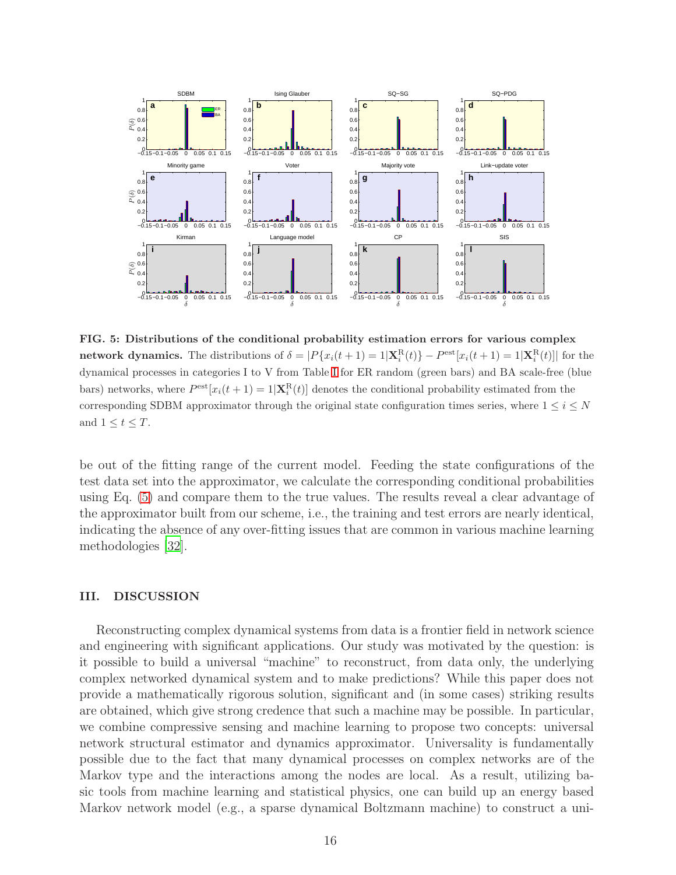<span id="page-15-0"></span>

FIG. 5: Distributions of the conditional probability estimation errors for various complex network dynamics. The distributions of  $\delta = |P\{x_i(t+1) = 1 | \mathbf{X}_i^{\text{R}}(t)\} - P^{\text{est}}[x_i(t+1) = 1 | \mathbf{X}_i^{\text{R}}(t)]|$  for the dynamical processes in categories I to V from Table [I](#page-11-0) for ER random (green bars) and BA scale-free (blue bars) networks, where  $P^{\text{est}}[x_i(t+1) = 1 | \mathbf{X}_i^{\text{R}}(t)]$  denotes the conditional probability estimated from the corresponding SDBM approximator through the original state configuration times series, where  $1 \leq i \leq N$ and  $1 \leq t \leq T$ .

be out of the fitting range of the current model. Feeding the state configurations of the test data set into the approximator, we calculate the corresponding conditional probabilities using Eq. [\(5\)](#page-5-0) and compare them to the true values. The results reveal a clear advantage of the approximator built from our scheme, i.e., the training and test errors are nearly identical, indicating the absence of any over-fitting issues that are common in various machine learning methodologies [\[32](#page-23-3)].

#### III. DISCUSSION

Reconstructing complex dynamical systems from data is a frontier field in network science and engineering with significant applications. Our study was motivated by the question: is it possible to build a universal "machine" to reconstruct, from data only, the underlying complex networked dynamical system and to make predictions? While this paper does not provide a mathematically rigorous solution, significant and (in some cases) striking results are obtained, which give strong credence that such a machine may be possible. In particular, we combine compressive sensing and machine learning to propose two concepts: universal network structural estimator and dynamics approximator. Universality is fundamentally possible due to the fact that many dynamical processes on complex networks are of the Markov type and the interactions among the nodes are local. As a result, utilizing basic tools from machine learning and statistical physics, one can build up an energy based Markov network model (e.g., a sparse dynamical Boltzmann machine) to construct a uni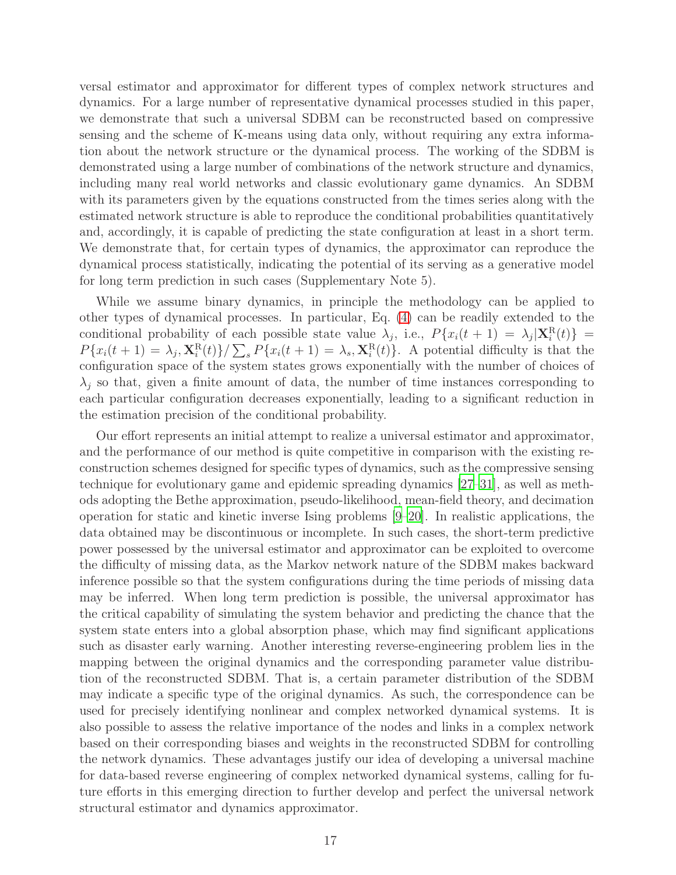versal estimator and approximator for different types of complex network structures and dynamics. For a large number of representative dynamical processes studied in this paper, we demonstrate that such a universal SDBM can be reconstructed based on compressive sensing and the scheme of K-means using data only, without requiring any extra information about the network structure or the dynamical process. The working of the SDBM is demonstrated using a large number of combinations of the network structure and dynamics, including many real world networks and classic evolutionary game dynamics. An SDBM with its parameters given by the equations constructed from the times series along with the estimated network structure is able to reproduce the conditional probabilities quantitatively and, accordingly, it is capable of predicting the state configuration at least in a short term. We demonstrate that, for certain types of dynamics, the approximator can reproduce the dynamical process statistically, indicating the potential of its serving as a generative model for long term prediction in such cases (Supplementary Note 5).

While we assume binary dynamics, in principle the methodology can be applied to other types of dynamical processes. In particular, Eq. [\(4\)](#page-4-0) can be readily extended to the conditional probability of each possible state value  $\lambda_j$ , i.e.,  $P\{x_i(t+1) = \lambda_j | \mathbf{X}_i^{\text{R}}(t)\}$  $P\{x_i(t+1) = \lambda_j, \mathbf{X}_i^{\text{R}}(t)\} / \sum_s P\{x_i(t+1) = \lambda_s, \mathbf{X}_i^{\text{R}}(t)\}.$  A potential difficulty is that the configuration space of the system states grows exponentially with the number of choices of  $\lambda_i$  so that, given a finite amount of data, the number of time instances corresponding to each particular configuration decreases exponentially, leading to a significant reduction in the estimation precision of the conditional probability.

Our effort represents an initial attempt to realize a universal estimator and approximator, and the performance of our method is quite competitive in comparison with the existing reconstruction schemes designed for specific types of dynamics, such as the compressive sensing technique for evolutionary game and epidemic spreading dynamics [\[27](#page-22-7)[–31\]](#page-23-2), as well as methods adopting the Bethe approximation, pseudo-likelihood, mean-field theory, and decimation operation for static and kinetic inverse Ising problems [\[9](#page-22-1)[–20\]](#page-22-4). In realistic applications, the data obtained may be discontinuous or incomplete. In such cases, the short-term predictive power possessed by the universal estimator and approximator can be exploited to overcome the difficulty of missing data, as the Markov network nature of the SDBM makes backward inference possible so that the system configurations during the time periods of missing data may be inferred. When long term prediction is possible, the universal approximator has the critical capability of simulating the system behavior and predicting the chance that the system state enters into a global absorption phase, which may find significant applications such as disaster early warning. Another interesting reverse-engineering problem lies in the mapping between the original dynamics and the corresponding parameter value distribution of the reconstructed SDBM. That is, a certain parameter distribution of the SDBM may indicate a specific type of the original dynamics. As such, the correspondence can be used for precisely identifying nonlinear and complex networked dynamical systems. It is also possible to assess the relative importance of the nodes and links in a complex network based on their corresponding biases and weights in the reconstructed SDBM for controlling the network dynamics. These advantages justify our idea of developing a universal machine for data-based reverse engineering of complex networked dynamical systems, calling for future efforts in this emerging direction to further develop and perfect the universal network structural estimator and dynamics approximator.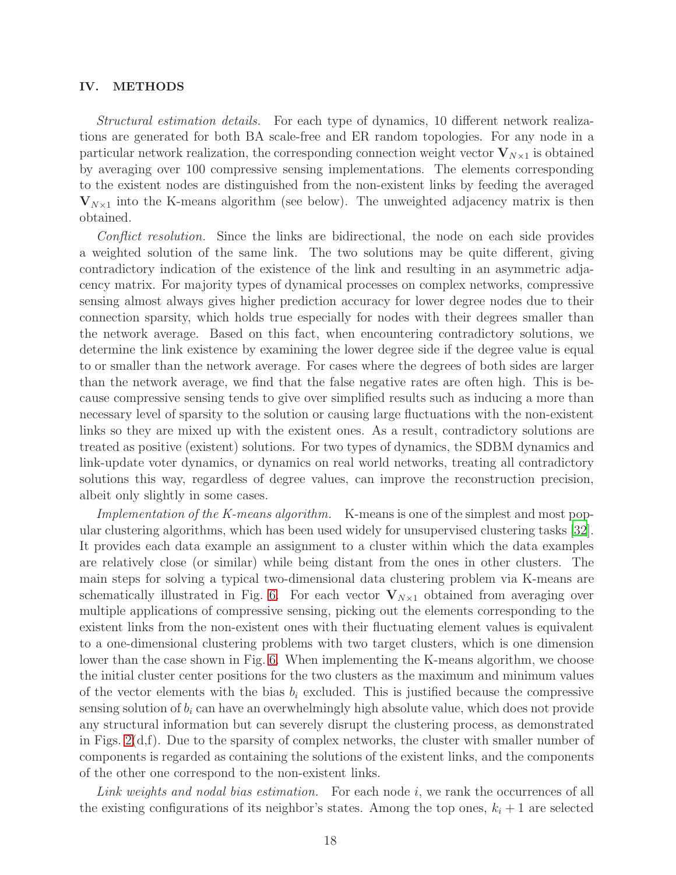### IV. METHODS

Structural estimation details. For each type of dynamics, 10 different network realizations are generated for both BA scale-free and ER random topologies. For any node in a particular network realization, the corresponding connection weight vector  $V_{N\times 1}$  is obtained by averaging over 100 compressive sensing implementations. The elements corresponding to the existent nodes are distinguished from the non-existent links by feeding the averaged  $V_{N\times1}$  into the K-means algorithm (see below). The unweighted adjacency matrix is then obtained.

Conflict resolution. Since the links are bidirectional, the node on each side provides a weighted solution of the same link. The two solutions may be quite different, giving contradictory indication of the existence of the link and resulting in an asymmetric adjacency matrix. For majority types of dynamical processes on complex networks, compressive sensing almost always gives higher prediction accuracy for lower degree nodes due to their connection sparsity, which holds true especially for nodes with their degrees smaller than the network average. Based on this fact, when encountering contradictory solutions, we determine the link existence by examining the lower degree side if the degree value is equal to or smaller than the network average. For cases where the degrees of both sides are larger than the network average, we find that the false negative rates are often high. This is because compressive sensing tends to give over simplified results such as inducing a more than necessary level of sparsity to the solution or causing large fluctuations with the non-existent links so they are mixed up with the existent ones. As a result, contradictory solutions are treated as positive (existent) solutions. For two types of dynamics, the SDBM dynamics and link-update voter dynamics, or dynamics on real world networks, treating all contradictory solutions this way, regardless of degree values, can improve the reconstruction precision, albeit only slightly in some cases.

Implementation of the K-means algorithm. K-means is one of the simplest and most popular clustering algorithms, which has been used widely for unsupervised clustering tasks [\[32\]](#page-23-3). It provides each data example an assignment to a cluster within which the data examples are relatively close (or similar) while being distant from the ones in other clusters. The main steps for solving a typical two-dimensional data clustering problem via K-means are schematically illustrated in Fig. [6.](#page-18-0) For each vector  $V_{N\times 1}$  obtained from averaging over multiple applications of compressive sensing, picking out the elements corresponding to the existent links from the non-existent ones with their fluctuating element values is equivalent to a one-dimensional clustering problems with two target clusters, which is one dimension lower than the case shown in Fig. [6.](#page-18-0) When implementing the K-means algorithm, we choose the initial cluster center positions for the two clusters as the maximum and minimum values of the vector elements with the bias  $b_i$  excluded. This is justified because the compressive sensing solution of  $b_i$  can have an overwhelmingly high absolute value, which does not provide any structural information but can severely disrupt the clustering process, as demonstrated in Figs.  $2(d,f)$ . Due to the sparsity of complex networks, the cluster with smaller number of components is regarded as containing the solutions of the existent links, and the components of the other one correspond to the non-existent links.

Link weights and nodal bias estimation. For each node i, we rank the occurrences of all the existing configurations of its neighbor's states. Among the top ones,  $k_i + 1$  are selected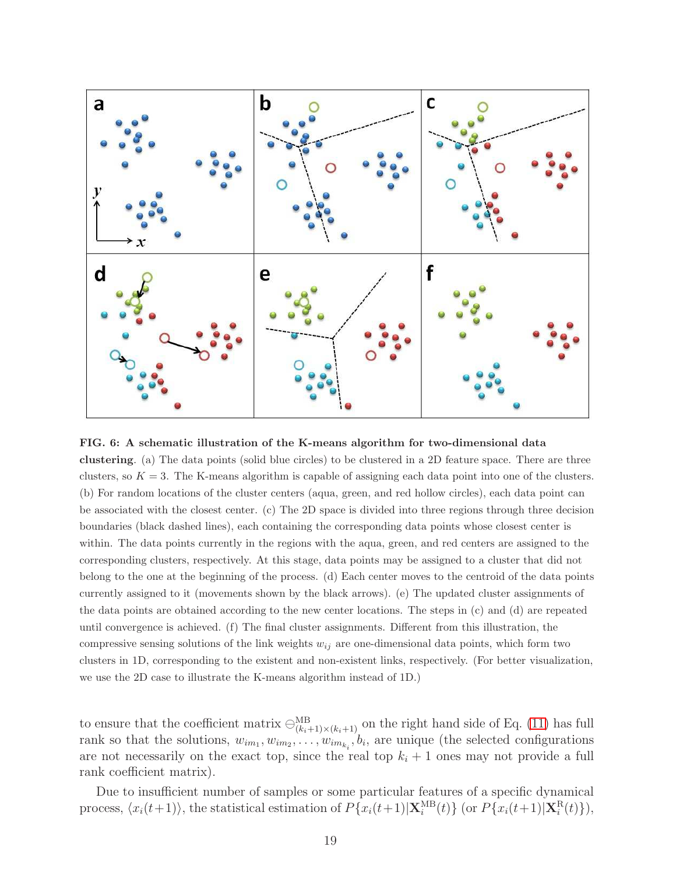<span id="page-18-0"></span>

FIG. 6: A schematic illustration of the K-means algorithm for two-dimensional data clustering. (a) The data points (solid blue circles) to be clustered in a 2D feature space. There are three clusters, so  $K = 3$ . The K-means algorithm is capable of assigning each data point into one of the clusters. (b) For random locations of the cluster centers (aqua, green, and red hollow circles), each data point can be associated with the closest center. (c) The 2D space is divided into three regions through three decision boundaries (black dashed lines), each containing the corresponding data points whose closest center is within. The data points currently in the regions with the aqua, green, and red centers are assigned to the corresponding clusters, respectively. At this stage, data points may be assigned to a cluster that did not belong to the one at the beginning of the process. (d) Each center moves to the centroid of the data points currently assigned to it (movements shown by the black arrows). (e) The updated cluster assignments of the data points are obtained according to the new center locations. The steps in (c) and (d) are repeated until convergence is achieved. (f) The final cluster assignments. Different from this illustration, the compressive sensing solutions of the link weights  $w_{ij}$  are one-dimensional data points, which form two clusters in 1D, corresponding to the existent and non-existent links, respectively. (For better visualization, we use the 2D case to illustrate the K-means algorithm instead of 1D.)

to ensure that the coefficient matrix  $\ominus_{(k_i+1)\times(k_i+1)}^{\text{MB}}$  on the right hand side of Eq. [\(11\)](#page-10-1) has full rank so that the solutions,  $w_{im_1}, w_{im_2}, \ldots, w_{im_{k_i}}, b_i$ , are unique (the selected configurations are not necessarily on the exact top, since the real top  $k_i + 1$  ones may not provide a full rank coefficient matrix).

Due to insufficient number of samples or some particular features of a specific dynamical process,  $\langle x_i(t+1) \rangle$ , the statistical estimation of  $P\{x_i(t+1)|\mathbf{X}_i^{MB}(t)\}$  (or  $P\{x_i(t+1)|\mathbf{X}_i^{R}(t)\}\rangle$ ,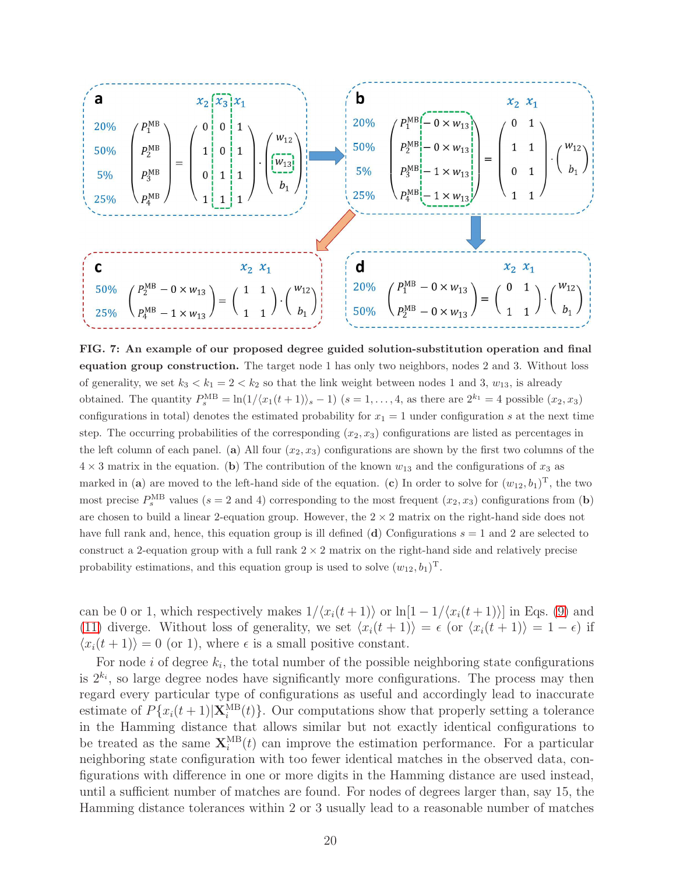<span id="page-19-0"></span>

FIG. 7: An example of our proposed degree guided solution-substitution operation and final equation group construction. The target node 1 has only two neighbors, nodes 2 and 3. Without loss of generality, we set  $k_3 < k_1 = 2 < k_2$  so that the link weight between nodes 1 and 3,  $w_{13}$ , is already obtained. The quantity  $P_s^{\text{MB}} = \ln(1/\langle x_1(t+1)\rangle_s - 1)$   $(s = 1, \ldots, 4$ , as there are  $2^{k_1} = 4$  possible  $(x_2, x_3)$ configurations in total) denotes the estimated probability for  $x_1 = 1$  under configuration s at the next time step. The occurring probabilities of the corresponding  $(x_2, x_3)$  configurations are listed as percentages in the left column of each panel. (a) All four  $(x_2, x_3)$  configurations are shown by the first two columns of the  $4 \times 3$  matrix in the equation. (b) The contribution of the known  $w_{13}$  and the configurations of  $x_3$  as marked in (a) are moved to the left-hand side of the equation. (c) In order to solve for  $(w_{12}, b_1)^T$ , the two most precise  $P_s^{\text{MB}}$  values (s = 2 and 4) corresponding to the most frequent  $(x_2, x_3)$  configurations from (b) are chosen to build a linear 2-equation group. However, the  $2 \times 2$  matrix on the right-hand side does not have full rank and, hence, this equation group is ill defined (d) Configurations  $s = 1$  and 2 are selected to construct a 2-equation group with a full rank  $2 \times 2$  matrix on the right-hand side and relatively precise probability estimations, and this equation group is used to solve  $(w_{12}, b_1)^T$ .

can be 0 or 1, which respectively makes  $1/\langle x_i(t + 1) \rangle$  or  $\ln[1 - 1/\langle x_i(t + 1) \rangle]$  in Eqs. [\(9\)](#page-6-0) and [\(11\)](#page-10-1) diverge. Without loss of generality, we set  $\langle x_i(t + 1) \rangle = \epsilon$  (or  $\langle x_i(t + 1) \rangle = 1 - \epsilon$ ) if  $\langle x_i(t + 1) \rangle = 0$  (or 1), where  $\epsilon$  is a small positive constant.

For node *i* of degree  $k_i$ , the total number of the possible neighboring state configurations is  $2^{k_i}$ , so large degree nodes have significantly more configurations. The process may then regard every particular type of configurations as useful and accordingly lead to inaccurate estimate of  $P\{x_i(t+1)|\mathbf{X}_i^{MB}(t)\}\$ . Our computations show that properly setting a tolerance in the Hamming distance that allows similar but not exactly identical configurations to be treated as the same  $\mathbf{X}^{\text{MB}}_i(t)$  can improve the estimation performance. For a particular neighboring state configuration with too fewer identical matches in the observed data, configurations with difference in one or more digits in the Hamming distance are used instead, until a sufficient number of matches are found. For nodes of degrees larger than, say 15, the Hamming distance tolerances within 2 or 3 usually lead to a reasonable number of matches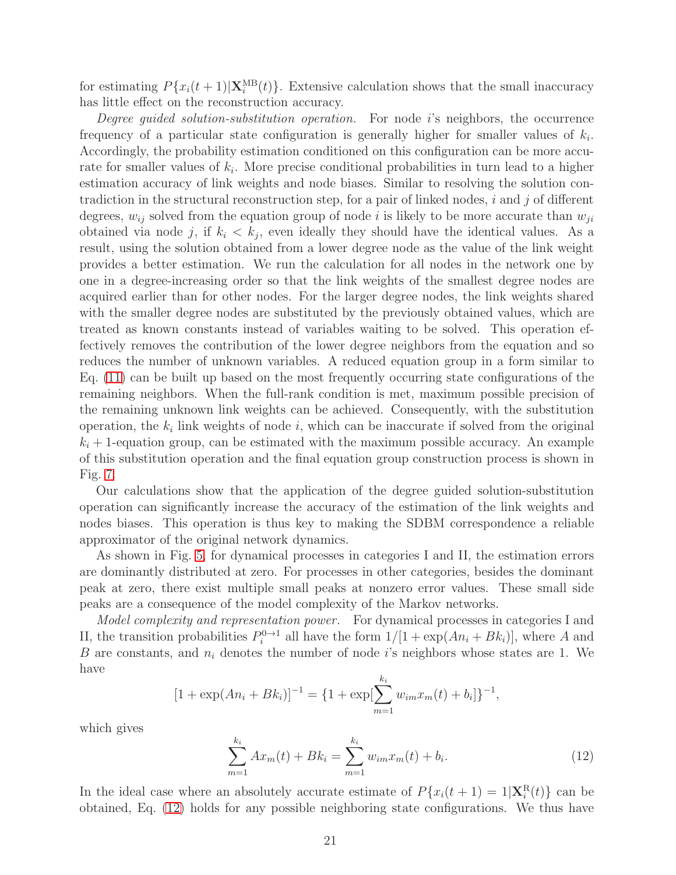for estimating  $P\{x_i(t+1)|\mathbf{X}_i^{MB}(t)\}\$ . Extensive calculation shows that the small inaccuracy has little effect on the reconstruction accuracy.

Degree quided solution-substitution operation. For node i's neighbors, the occurrence frequency of a particular state configuration is generally higher for smaller values of  $k_i$ . Accordingly, the probability estimation conditioned on this configuration can be more accurate for smaller values of  $k_i$ . More precise conditional probabilities in turn lead to a higher estimation accuracy of link weights and node biases. Similar to resolving the solution contradiction in the structural reconstruction step, for a pair of linked nodes,  $i$  and  $j$  of different degrees,  $w_{ij}$  solved from the equation group of node i is likely to be more accurate than  $w_{ji}$ obtained via node j, if  $k_i < k_j$ , even ideally they should have the identical values. As a result, using the solution obtained from a lower degree node as the value of the link weight provides a better estimation. We run the calculation for all nodes in the network one by one in a degree-increasing order so that the link weights of the smallest degree nodes are acquired earlier than for other nodes. For the larger degree nodes, the link weights shared with the smaller degree nodes are substituted by the previously obtained values, which are treated as known constants instead of variables waiting to be solved. This operation effectively removes the contribution of the lower degree neighbors from the equation and so reduces the number of unknown variables. A reduced equation group in a form similar to Eq. [\(11\)](#page-10-1) can be built up based on the most frequently occurring state configurations of the remaining neighbors. When the full-rank condition is met, maximum possible precision of the remaining unknown link weights can be achieved. Consequently, with the substitution operation, the  $k_i$  link weights of node i, which can be inaccurate if solved from the original  $k_i + 1$ -equation group, can be estimated with the maximum possible accuracy. An example of this substitution operation and the final equation group construction process is shown in Fig. [7.](#page-19-0)

Our calculations show that the application of the degree guided solution-substitution operation can significantly increase the accuracy of the estimation of the link weights and nodes biases. This operation is thus key to making the SDBM correspondence a reliable approximator of the original network dynamics.

As shown in Fig. [5,](#page-15-0) for dynamical processes in categories I and II, the estimation errors are dominantly distributed at zero. For processes in other categories, besides the dominant peak at zero, there exist multiple small peaks at nonzero error values. These small side peaks are a consequence of the model complexity of the Markov networks.

Model complexity and representation power. For dynamical processes in categories I and II, the transition probabilities  $P_i^{0\to 1}$  all have the form  $1/[1 + \exp(An_i + Bk_i)],$  where A and B are constants, and  $n_i$  denotes the number of node i's neighbors whose states are 1. We have

$$
[1 + \exp(An_i + Bk_i)]^{-1} = \{1 + \exp[\sum_{m=1}^{k_i} w_{im}x_m(t) + b_i]\}^{-1},
$$

which gives

<span id="page-20-0"></span>
$$
\sum_{m=1}^{k_i} Ax_m(t) + Bk_i = \sum_{m=1}^{k_i} w_{im}x_m(t) + b_i.
$$
 (12)

In the ideal case where an absolutely accurate estimate of  $P\{x_i(t+1) = 1 | \mathbf{X}_i^{\text{R}}(t)\}\)$  can be obtained, Eq. [\(12\)](#page-20-0) holds for any possible neighboring state configurations. We thus have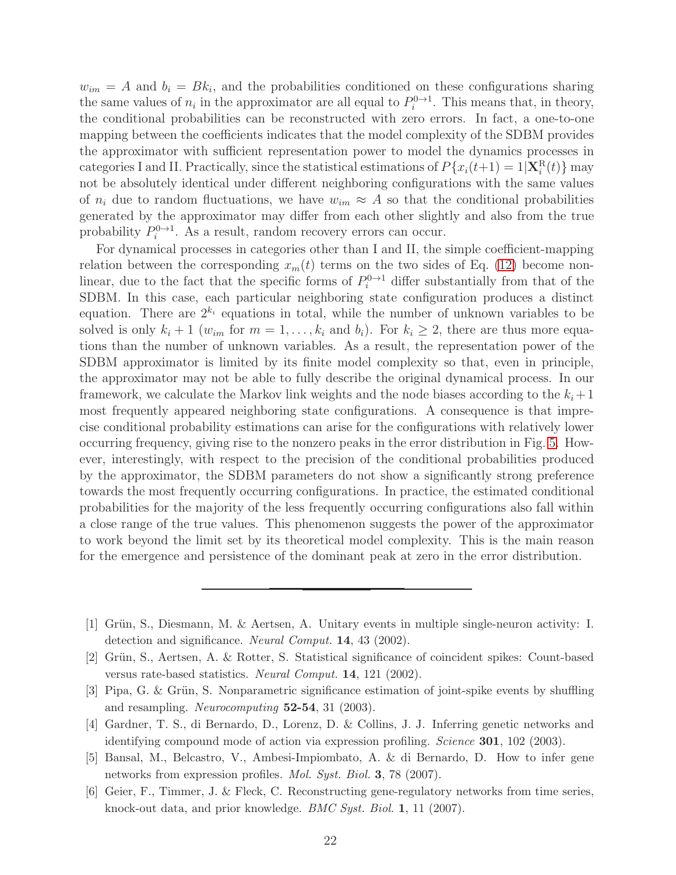$w_{im} = A$  and  $b_i = Bk_i$ , and the probabilities conditioned on these configurations sharing the same values of  $n_i$  in the approximator are all equal to  $P_i^{0\to 1}$ . This means that, in theory, the conditional probabilities can be reconstructed with zero errors. In fact, a one-to-one mapping between the coefficients indicates that the model complexity of the SDBM provides the approximator with sufficient representation power to model the dynamics processes in categories I and II. Practically, since the statistical estimations of  $P\{x_i(t+1) = 1 | \mathbf{X}_i^{\text{R}}(t)\}\$  may not be absolutely identical under different neighboring configurations with the same values of  $n_i$  due to random fluctuations, we have  $w_{im} \approx A$  so that the conditional probabilities generated by the approximator may differ from each other slightly and also from the true probability  $P_i^{0\to 1}$ . As a result, random recovery errors can occur.

For dynamical processes in categories other than I and II, the simple coefficient-mapping relation between the corresponding  $x_m(t)$  terms on the two sides of Eq. [\(12\)](#page-20-0) become nonlinear, due to the fact that the specific forms of  $P_i^{0\to1}$  differ substantially from that of the SDBM. In this case, each particular neighboring state configuration produces a distinct equation. There are  $2^{k_i}$  equations in total, while the number of unknown variables to be solved is only  $k_i + 1$  ( $w_{im}$  for  $m = 1, \ldots, k_i$  and  $b_i$ ). For  $k_i \geq 2$ , there are thus more equations than the number of unknown variables. As a result, the representation power of the SDBM approximator is limited by its finite model complexity so that, even in principle, the approximator may not be able to fully describe the original dynamical process. In our framework, we calculate the Markov link weights and the node biases according to the  $k_i + 1$ most frequently appeared neighboring state configurations. A consequence is that imprecise conditional probability estimations can arise for the configurations with relatively lower occurring frequency, giving rise to the nonzero peaks in the error distribution in Fig. [5.](#page-15-0) However, interestingly, with respect to the precision of the conditional probabilities produced by the approximator, the SDBM parameters do not show a significantly strong preference towards the most frequently occurring configurations. In practice, the estimated conditional probabilities for the majority of the less frequently occurring configurations also fall within a close range of the true values. This phenomenon suggests the power of the approximator to work beyond the limit set by its theoretical model complexity. This is the main reason for the emergence and persistence of the dominant peak at zero in the error distribution.

- <span id="page-21-0"></span>[1] Grün, S., Diesmann, M. & Aertsen, A. Unitary events in multiple single-neuron activity: I. detection and significance. *Neural Comput.* 14, 43 (2002).
- [2] Grün, S., Aertsen, A. & Rotter, S. Statistical significance of coincident spikes: Count-based versus rate-based statistics. *Neural Comput.* 14, 121 (2002).
- [3] Pipa, G. & Grün, S. Nonparametric significance estimation of joint-spike events by shuffling and resampling. *Neurocomputing* 52-54, 31 (2003).
- <span id="page-21-1"></span>[4] Gardner, T. S., di Bernardo, D., Lorenz, D. & Collins, J. J. Inferring genetic networks and identifying compound mode of action via expression profiling. *Science* 301, 102 (2003).
- <span id="page-21-2"></span>[5] Bansal, M., Belcastro, V., Ambesi-Impiombato, A. & di Bernardo, D. How to infer gene networks from expression profiles. *Mol. Syst. Biol.* 3, 78 (2007).
- [6] Geier, F., Timmer, J. & Fleck, C. Reconstructing gene-regulatory networks from time series, knock-out data, and prior knowledge. *BMC Syst. Biol.* 1, 11 (2007).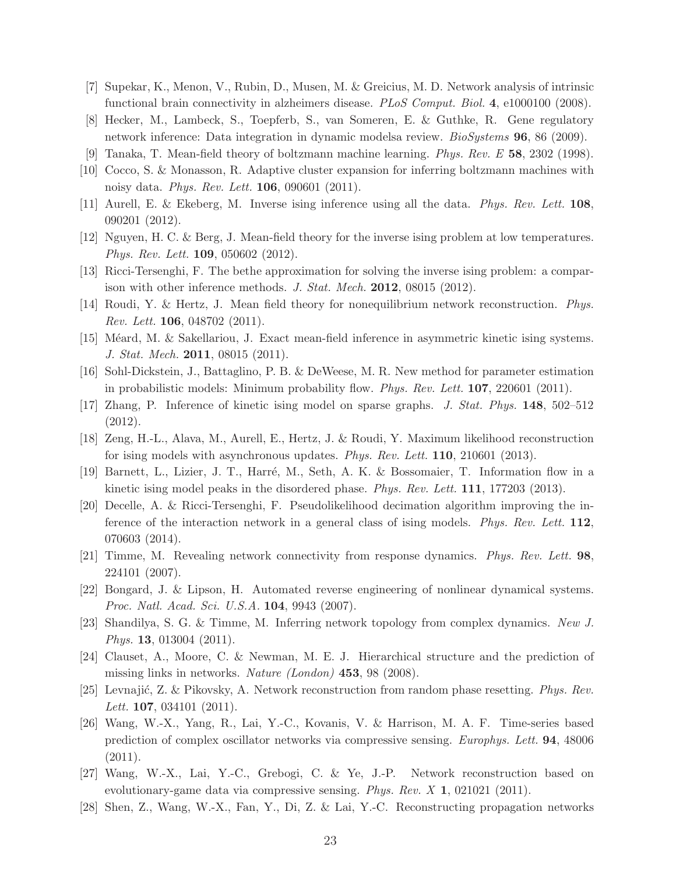- [7] Supekar, K., Menon, V., Rubin, D., Musen, M. & Greicius, M. D. Network analysis of intrinsic functional brain connectivity in alzheimers disease. *PLoS Comput. Biol.* 4, e1000100 (2008).
- <span id="page-22-0"></span>[8] Hecker, M., Lambeck, S., Toepferb, S., van Someren, E. & Guthke, R. Gene regulatory network inference: Data integration in dynamic modelsa review. *BioSystems* 96, 86 (2009).
- <span id="page-22-1"></span>[9] Tanaka, T. Mean-field theory of boltzmann machine learning. *Phys. Rev. E* 58, 2302 (1998).
- [10] Cocco, S. & Monasson, R. Adaptive cluster expansion for inferring boltzmann machines with noisy data. *Phys. Rev. Lett.* 106, 090601 (2011).
- [11] Aurell, E. & Ekeberg, M. Inverse ising inference using all the data. *Phys. Rev. Lett.* 108, 090201 (2012).
- [12] Nguyen, H. C. & Berg, J. Mean-field theory for the inverse ising problem at low temperatures. *Phys. Rev. Lett.* 109, 050602 (2012).
- <span id="page-22-2"></span>[13] Ricci-Tersenghi, F. The bethe approximation for solving the inverse ising problem: a comparison with other inference methods. *J. Stat. Mech.* 2012, 08015 (2012).
- <span id="page-22-3"></span>[14] Roudi, Y. & Hertz, J. Mean field theory for nonequilibrium network reconstruction. *Phys. Rev. Lett.* 106, 048702 (2011).
- [15] Méard, M. & Sakellariou, J. Exact mean-field inference in asymmetric kinetic ising systems. *J. Stat. Mech.* 2011, 08015 (2011).
- [16] Sohl-Dickstein, J., Battaglino, P. B. & DeWeese, M. R. New method for parameter estimation in probabilistic models: Minimum probability flow. *Phys. Rev. Lett.* 107, 220601 (2011).
- [17] Zhang, P. Inference of kinetic ising model on sparse graphs. *J. Stat. Phys.* 148, 502–512 (2012).
- [18] Zeng, H.-L., Alava, M., Aurell, E., Hertz, J. & Roudi, Y. Maximum likelihood reconstruction for ising models with asynchronous updates. *Phys. Rev. Lett.* 110, 210601 (2013).
- [19] Barnett, L., Lizier, J. T., Harré, M., Seth, A. K. & Bossomaier, T. Information flow in a kinetic ising model peaks in the disordered phase. *Phys. Rev. Lett.* 111, 177203 (2013).
- <span id="page-22-4"></span>[20] Decelle, A. & Ricci-Tersenghi, F. Pseudolikelihood decimation algorithm improving the inference of the interaction network in a general class of ising models. *Phys. Rev. Lett.* 112, 070603 (2014).
- <span id="page-22-5"></span>[21] Timme, M. Revealing network connectivity from response dynamics. *Phys. Rev. Lett.* 98, 224101 (2007).
- [22] Bongard, J. & Lipson, H. Automated reverse engineering of nonlinear dynamical systems. *Proc. Natl. Acad. Sci. U.S.A.* 104, 9943 (2007).
- [23] Shandilya, S. G. & Timme, M. Inferring network topology from complex dynamics. *New J. Phys.* 13, 013004 (2011).
- [24] Clauset, A., Moore, C. & Newman, M. E. J. Hierarchical structure and the prediction of missing links in networks. *Nature (London)* 453, 98 (2008).
- [25] Levnajić, Z. & Pikovsky, A. Network reconstruction from random phase resetting. *Phys. Rev. Lett.* 107, 034101 (2011).
- <span id="page-22-6"></span>[26] Wang, W.-X., Yang, R., Lai, Y.-C., Kovanis, V. & Harrison, M. A. F. Time-series based prediction of complex oscillator networks via compressive sensing. *Europhys. Lett.* 94, 48006 (2011).
- <span id="page-22-7"></span>[27] Wang, W.-X., Lai, Y.-C., Grebogi, C. & Ye, J.-P. Network reconstruction based on evolutionary-game data via compressive sensing. *Phys. Rev. X* 1, 021021 (2011).
- <span id="page-22-8"></span>[28] Shen, Z., Wang, W.-X., Fan, Y., Di, Z. & Lai, Y.-C. Reconstructing propagation networks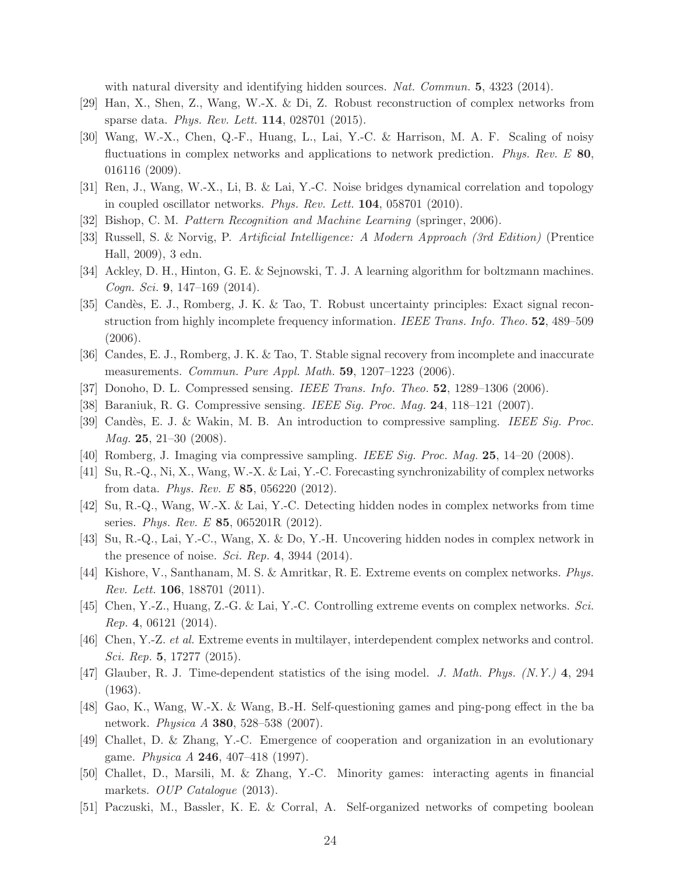with natural diversity and identifying hidden sources. *Nat. Commun.* 5, 4323 (2014).

- <span id="page-23-0"></span>[29] Han, X., Shen, Z., Wang, W.-X. & Di, Z. Robust reconstruction of complex networks from sparse data. *Phys. Rev. Lett.* 114, 028701 (2015).
- <span id="page-23-1"></span>[30] Wang, W.-X., Chen, Q.-F., Huang, L., Lai, Y.-C. & Harrison, M. A. F. Scaling of noisy fluctuations in complex networks and applications to network prediction. *Phys. Rev. E* 80, 016116 (2009).
- <span id="page-23-2"></span>[31] Ren, J., Wang, W.-X., Li, B. & Lai, Y.-C. Noise bridges dynamical correlation and topology in coupled oscillator networks. *Phys. Rev. Lett.* 104, 058701 (2010).
- <span id="page-23-3"></span>[32] Bishop, C. M. *Pattern Recognition and Machine Learning* (springer, 2006).
- <span id="page-23-4"></span>[33] Russell, S. & Norvig, P. *Artificial Intelligence: A Modern Approach (3rd Edition)* (Prentice Hall, 2009), 3 edn.
- <span id="page-23-5"></span>[34] Ackley, D. H., Hinton, G. E. & Sejnowski, T. J. A learning algorithm for boltzmann machines. *Cogn. Sci.* 9, 147–169 (2014).
- <span id="page-23-6"></span>[35] Candès, E. J., Romberg, J. K. & Tao, T. Robust uncertainty principles: Exact signal reconstruction from highly incomplete frequency information. *IEEE Trans. Info. Theo.* 52, 489–509 (2006).
- [36] Candes, E. J., Romberg, J. K. & Tao, T. Stable signal recovery from incomplete and inaccurate measurements. *Commun. Pure Appl. Math.* 59, 1207–1223 (2006).
- [37] Donoho, D. L. Compressed sensing. *IEEE Trans. Info. Theo.* 52, 1289–1306 (2006).
- [38] Baraniuk, R. G. Compressive sensing. *IEEE Sig. Proc. Mag.* 24, 118–121 (2007).
- [39] Cand`es, E. J. & Wakin, M. B. An introduction to compressive sampling. *IEEE Sig. Proc. Mag.* 25, 21–30 (2008).
- <span id="page-23-7"></span>[40] Romberg, J. Imaging via compressive sampling. *IEEE Sig. Proc. Mag.* 25, 14–20 (2008).
- <span id="page-23-8"></span>[41] Su, R.-Q., Ni, X., Wang, W.-X. & Lai, Y.-C. Forecasting synchronizability of complex networks from data. *Phys. Rev. E* 85, 056220 (2012).
- [42] Su, R.-Q., Wang, W.-X. & Lai, Y.-C. Detecting hidden nodes in complex networks from time series. *Phys. Rev. E* 85, 065201R (2012).
- <span id="page-23-9"></span>[43] Su, R.-Q., Lai, Y.-C., Wang, X. & Do, Y.-H. Uncovering hidden nodes in complex network in the presence of noise. *Sci. Rep.* 4, 3944 (2014).
- <span id="page-23-10"></span>[44] Kishore, V., Santhanam, M. S. & Amritkar, R. E. Extreme events on complex networks. *Phys. Rev. Lett.* 106, 188701 (2011).
- [45] Chen, Y.-Z., Huang, Z.-G. & Lai, Y.-C. Controlling extreme events on complex networks. *Sci. Rep.* 4, 06121 (2014).
- <span id="page-23-11"></span>[46] Chen, Y.-Z. *et al.* Extreme events in multilayer, interdependent complex networks and control. *Sci. Rep.* 5, 17277 (2015).
- <span id="page-23-12"></span>[47] Glauber, R. J. Time-dependent statistics of the ising model. *J. Math. Phys. (N.Y.)* 4, 294 (1963).
- <span id="page-23-13"></span>[48] Gao, K., Wang, W.-X. & Wang, B.-H. Self-questioning games and ping-pong effect in the ba network. *Physica A* 380, 528–538 (2007).
- <span id="page-23-14"></span>[49] Challet, D. & Zhang, Y.-C. Emergence of cooperation and organization in an evolutionary game. *Physica A* 246, 407–418 (1997).
- [50] Challet, D., Marsili, M. & Zhang, Y.-C. Minority games: interacting agents in financial markets. *OUP Catalogue* (2013).
- [51] Paczuski, M., Bassler, K. E. & Corral, A. Self-organized networks of competing boolean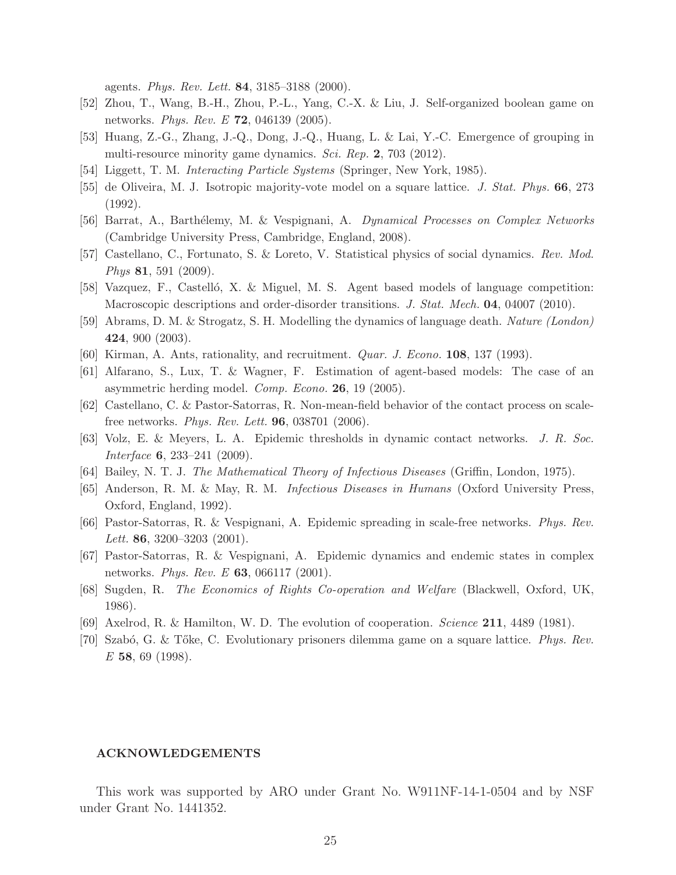agents. *Phys. Rev. Lett.* 84, 3185–3188 (2000).

- [52] Zhou, T., Wang, B.-H., Zhou, P.-L., Yang, C.-X. & Liu, J. Self-organized boolean game on networks. *Phys. Rev. E* 72, 046139 (2005).
- <span id="page-24-3"></span>[53] Huang, Z.-G., Zhang, J.-Q., Dong, J.-Q., Huang, L. & Lai, Y.-C. Emergence of grouping in multi-resource minority game dynamics. *Sci. Rep.* 2, 703 (2012).
- <span id="page-24-4"></span>[54] Liggett, T. M. *Interacting Particle Systems* (Springer, New York, 1985).
- <span id="page-24-5"></span>[55] de Oliveira, M. J. Isotropic majority-vote model on a square lattice. *J. Stat. Phys.* 66, 273 (1992).
- <span id="page-24-6"></span>[56] Barrat, A., Barth´elemy, M. & Vespignani, A. *Dynamical Processes on Complex Networks* (Cambridge University Press, Cambridge, England, 2008).
- <span id="page-24-7"></span>[57] Castellano, C., Fortunato, S. & Loreto, V. Statistical physics of social dynamics. *Rev. Mod. Phys* 81, 591 (2009).
- <span id="page-24-8"></span>[58] Vazquez, F., Castelló, X. & Miguel, M. S. Agent based models of language competition: Macroscopic descriptions and order-disorder transitions. *J. Stat. Mech.* 04, 04007 (2010).
- <span id="page-24-9"></span>[59] Abrams, D. M. & Strogatz, S. H. Modelling the dynamics of language death. *Nature (London)* 424, 900 (2003).
- <span id="page-24-10"></span>[60] Kirman, A. Ants, rationality, and recruitment. *Quar. J. Econo.* 108, 137 (1993).
- <span id="page-24-11"></span>[61] Alfarano, S., Lux, T. & Wagner, F. Estimation of agent-based models: The case of an asymmetric herding model. *Comp. Econo.* 26, 19 (2005).
- <span id="page-24-12"></span>[62] Castellano, C. & Pastor-Satorras, R. Non-mean-field behavior of the contact process on scalefree networks. *Phys. Rev. Lett.* 96, 038701 (2006).
- <span id="page-24-13"></span>[63] Volz, E. & Meyers, L. A. Epidemic thresholds in dynamic contact networks. *J. R. Soc. Interface* 6, 233–241 (2009).
- <span id="page-24-14"></span>[64] Bailey, N. T. J. *The Mathematical Theory of Infectious Diseases* (Griffin, London, 1975).
- [65] Anderson, R. M. & May, R. M. *Infectious Diseases in Humans* (Oxford University Press, Oxford, England, 1992).
- [66] Pastor-Satorras, R. & Vespignani, A. Epidemic spreading in scale-free networks. *Phys. Rev. Lett.* 86, 3200–3203 (2001).
- <span id="page-24-15"></span>[67] Pastor-Satorras, R. & Vespignani, A. Epidemic dynamics and endemic states in complex networks. *Phys. Rev. E* 63, 066117 (2001).
- <span id="page-24-0"></span>[68] Sugden, R. *The Economics of Rights Co-operation and Welfare* (Blackwell, Oxford, UK, 1986).
- <span id="page-24-1"></span>[69] Axelrod, R. & Hamilton, W. D. The evolution of cooperation. *Science* 211, 4489 (1981).
- <span id="page-24-2"></span>[70] Szab´o, G. & T˝oke, C. Evolutionary prisoners dilemma game on a square lattice. *Phys. Rev. E* 58, 69 (1998).

## ACKNOWLEDGEMENTS

This work was supported by ARO under Grant No. W911NF-14-1-0504 and by NSF under Grant No. 1441352.